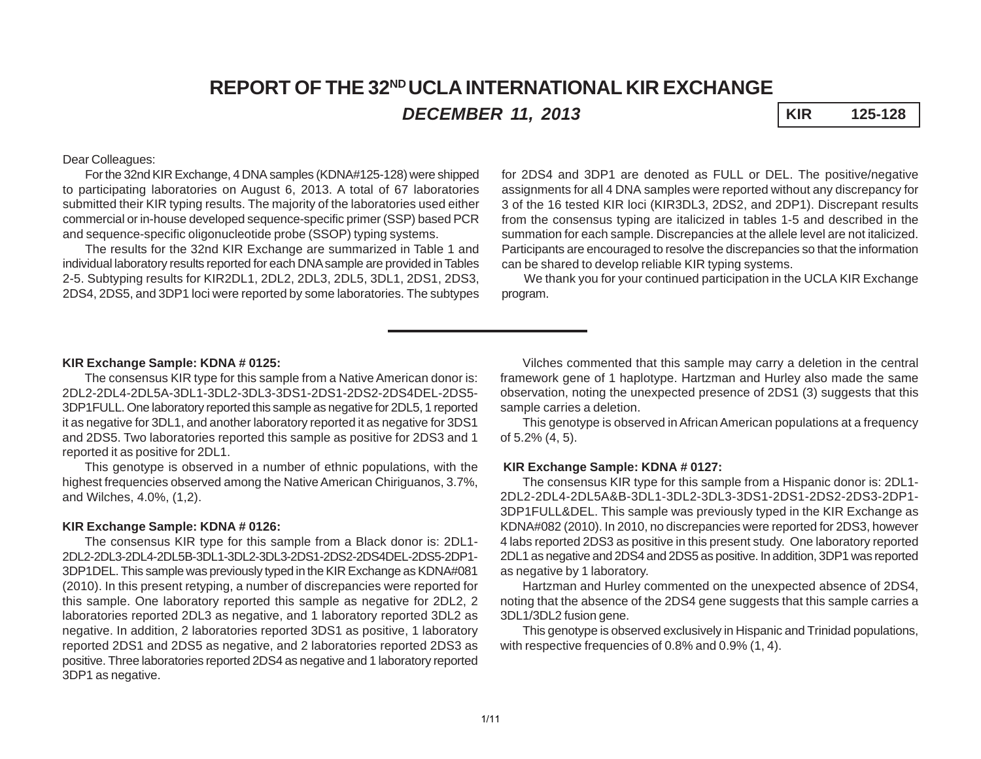# **REPORT OF THE 32ND UCLA INTERNATIONAL KIR EXCHANGE** *DECEMBER 11, 2013* **KIR 125-128**

## Dear Colleagues:

For the 32nd KIR Exchange, 4 DNA samples (KDNA#125-128) were shipped to participating laboratories on August 6, 2013. A total of 67 laboratories submitted their KIR typing results. The majority of the laboratories used either commercial or in-house developed sequence-specific primer (SSP) based PCR and sequence-specific oligonucleotide probe (SSOP) typing systems.

The results for the 32nd KIR Exchange are summarized in Table 1 and individual laboratory results reported for each DNA sample are provided in Tables 2-5. Subtyping results for KIR2DL1, 2DL2, 2DL3, 2DL5, 3DL1, 2DS1, 2DS3, 2DS4, 2DS5, and 3DP1 loci were reported by some laboratories. The subtypes

for 2DS4 and 3DP1 are denoted as FULL or DEL. The positive/negative assignments for all 4 DNA samples were reported without any discrepancy for 3 of the 16 tested KIR loci (KIR3DL3, 2DS2, and 2DP1). Discrepant results from the consensus typing are italicized in tables 1-5 and described in the summation for each sample. Discrepancies at the allele level are not italicized. Participants are encouraged to resolve the discrepancies so that the information can be shared to develop reliable KIR typing systems.

We thank you for your continued participation in the UCLA KIR Exchange program.

### **KIR Exchange Sample: KDNA # 0125:**

The consensus KIR type for this sample from a Native American donor is: 2DL2-2DL4-2DL5A-3DL1-3DL2-3DL3-3DS1-2DS1-2DS2-2DS4DEL-2DS5- 3DP1FULL. One laboratory reported this sample as negative for 2DL5, 1 reported it as negative for 3DL1, and another laboratory reported it as negative for 3DS1 and 2DS5. Two laboratories reported this sample as positive for 2DS3 and 1 reported it as positive for 2DL1.

This genotype is observed in a number of ethnic populations, with the highest frequencies observed among the Native American Chiriguanos, 3.7%, and Wilches, 4.0%, (1,2).

#### **KIR Exchange Sample: KDNA # 0126:**

The consensus KIR type for this sample from a Black donor is: 2DL1- 2DL2-2DL3-2DL4-2DL5B-3DL1-3DL2-3DL3-2DS1-2DS2-2DS4DEL-2DS5-2DP1- 3DP1DEL. This sample was previously typed in the KIR Exchange as KDNA#081 (2010). In this present retyping, a number of discrepancies were reported for this sample. One laboratory reported this sample as negative for 2DL2, 2 laboratories reported 2DL3 as negative, and 1 laboratory reported 3DL2 as negative. In addition, 2 laboratories reported 3DS1 as positive, 1 laboratory reported 2DS1 and 2DS5 as negative, and 2 laboratories reported 2DS3 as positive. Three laboratories reported 2DS4 as negative and 1 laboratory reported 3DP1 as negative.

Vilches commented that this sample may carry a deletion in the central framework gene of 1 haplotype. Hartzman and Hurley also made the same observation, noting the unexpected presence of 2DS1 (3) suggests that this sample carries a deletion.

This genotype is observed in African American populations at a frequency of 5.2% (4, 5).

#### **KIR Exchange Sample: KDNA # 0127:**

The consensus KIR type for this sample from a Hispanic donor is: 2DL1- 2DL2-2DL4-2DL5A&B-3DL1-3DL2-3DL3-3DS1-2DS1-2DS2-2DS3-2DP1- 3DP1FULL&DEL. This sample was previously typed in the KIR Exchange as KDNA#082 (2010). In 2010, no discrepancies were reported for 2DS3, however 4 labs reported 2DS3 as positive in this present study. One laboratory reported 2DL1 as negative and 2DS4 and 2DS5 as positive. In addition, 3DP1 was reported as negative by 1 laboratory.

Hartzman and Hurley commented on the unexpected absence of 2DS4, noting that the absence of the 2DS4 gene suggests that this sample carries a 3DL1/3DL2 fusion gene.

This genotype is observed exclusively in Hispanic and Trinidad populations, with respective frequencies of 0.8% and 0.9% (1, 4).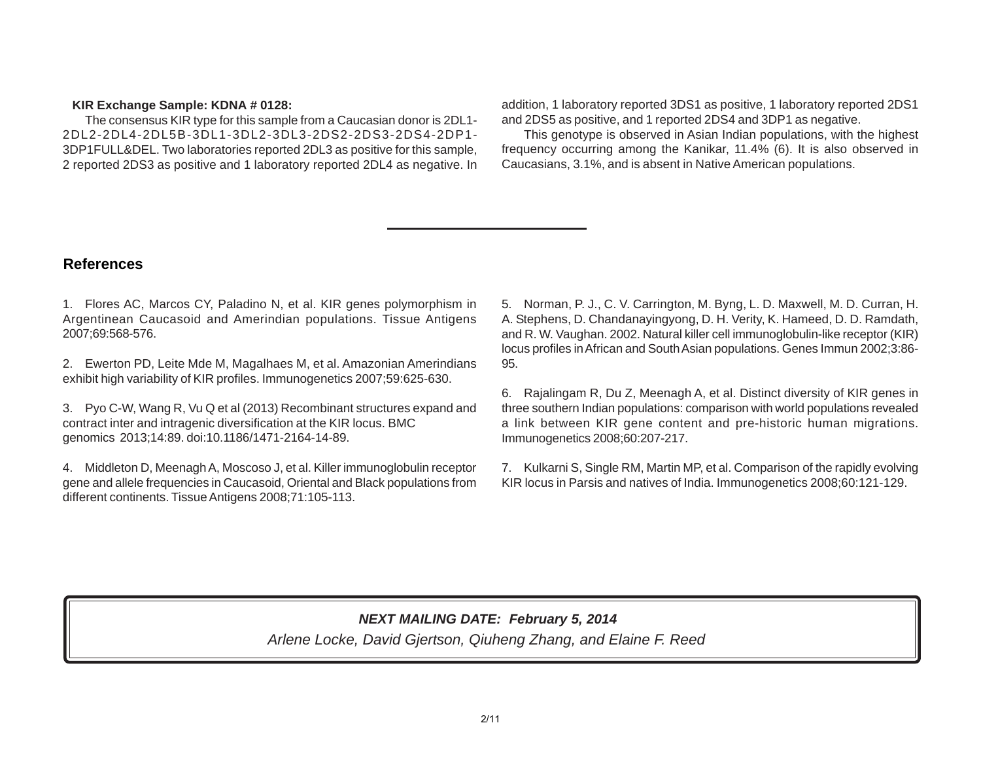### **KIR Exchange Sample: KDNA # 0128:**

The consensus KIR type for this sample from a Caucasian donor is 2DL1- 2DL2-2DL4-2DL5B-3DL1-3DL2-3DL3-2DS2-2DS3-2DS4-2DP1- 3DP1FULL&DEL. Two laboratories reported 2DL3 as positive for this sample, 2 reported 2DS3 as positive and 1 laboratory reported 2DL4 as negative. In

addition, 1 laboratory reported 3DS1 as positive, 1 laboratory reported 2DS1 and 2DS5 as positive, and 1 reported 2DS4 and 3DP1 as negative.

This genotype is observed in Asian Indian populations, with the highest frequency occurring among the Kanikar, 11.4% (6). It is also observed in Caucasians, 3.1%, and is absent in Native American populations.

## **References**

1. Flores AC, Marcos CY, Paladino N, et al. KIR genes polymorphism in Argentinean Caucasoid and Amerindian populations. Tissue Antigens 2007;69:568-576.

2. Ewerton PD, Leite Mde M, Magalhaes M, et al. Amazonian Amerindians exhibit high variability of KIR profiles. Immunogenetics 2007;59:625-630.

3. Pyo C-W, Wang R, Vu Q et al (2013) Recombinant structures expand and contract inter and intragenic diversification at the KIR locus. BMC genomics 2013;14:89. doi:10.1186/1471-2164-14-89.

4. Middleton D, Meenagh A, Moscoso J, et al. Killer immunoglobulin receptor gene and allele frequencies in Caucasoid, Oriental and Black populations from different continents. Tissue Antigens 2008;71:105-113.

5. Norman, P. J., C. V. Carrington, M. Byng, L. D. Maxwell, M. D. Curran, H. A. Stephens, D. Chandanayingyong, D. H. Verity, K. Hameed, D. D. Ramdath, and R. W. Vaughan. 2002. Natural killer cell immunoglobulin-like receptor (KIR) locus profiles in African and South Asian populations. Genes Immun 2002;3:86- 95.

6. Rajalingam R, Du Z, Meenagh A, et al. Distinct diversity of KIR genes in three southern Indian populations: comparison with world populations revealed a link between KIR gene content and pre-historic human migrations. Immunogenetics 2008;60:207-217.

7. Kulkarni S, Single RM, Martin MP, et al. Comparison of the rapidly evolving KIR locus in Parsis and natives of India. Immunogenetics 2008;60:121-129.

## *NEXT MAILING DATE: February 5, 2014*

*Arlene Locke, David Gjertson, Qiuheng Zhang, and Elaine F. Reed*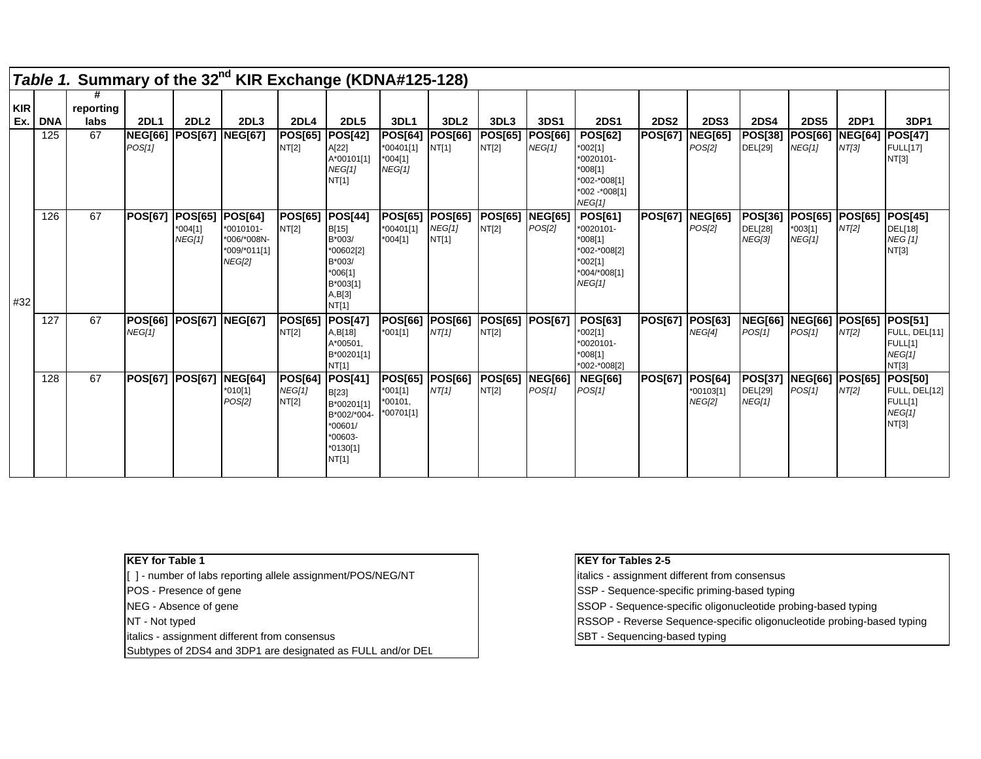|                   |            | Table 1. Summary of the 32 <sup>nd</sup> KIR Exchange (KDNA#125-128) |                          |                                       |                                                                             |                                           |                                                                                     |                                                     |                                          |                         |                                 |                                                                                              |                |                                              |                                                   |                                          |                         |                                                               |
|-------------------|------------|----------------------------------------------------------------------|--------------------------|---------------------------------------|-----------------------------------------------------------------------------|-------------------------------------------|-------------------------------------------------------------------------------------|-----------------------------------------------------|------------------------------------------|-------------------------|---------------------------------|----------------------------------------------------------------------------------------------|----------------|----------------------------------------------|---------------------------------------------------|------------------------------------------|-------------------------|---------------------------------------------------------------|
| <b>KIR</b><br>Ex. | <b>DNA</b> | reporting<br>labs                                                    | <b>2DL1</b>              | <b>2DL2</b>                           | 2DL <sub>3</sub>                                                            | <b>2DL4</b>                               | <b>2DL5</b>                                                                         | <b>3DL1</b>                                         | 3DL <sub>2</sub>                         | 3DL3                    | 3DS1                            | <b>2DS1</b>                                                                                  | <b>2DS2</b>    | <b>2DS3</b>                                  | <b>2DS4</b>                                       | <b>2DS5</b>                              | <b>2DP1</b>             | 3DP1                                                          |
|                   | 125        | 67                                                                   | <b>NEG[66]</b><br>POS[1] | <b>POS[67]</b>                        | <b>NEG[67]</b>                                                              | POS[65]  POS[42]<br>NT[2]                 | A[22]<br>A*00101[1]<br><b>NEG[1]</b><br>NT[1]                                       | <b>POS[64]</b><br>*00401[1]<br>$*004[1]$<br>NEG[1]  | <b>POS[66]</b><br>NT[1]                  | <b>POS[65]</b><br>NT[2] | <b>POS[66]</b><br><b>NEG[1]</b> | <b>POS[62]</b><br>*002[1]<br>*0020101-<br>*008[1]<br>*002-*008[1]<br>*002 -*008[1]<br>NEG[1] | <b>POS[67]</b> | <b>NEG[65]</b><br>POS[2]                     | <b>POS[38]</b><br>DEL[29]                         | <b>POS[66]</b><br>NEG[1]                 | <b>NEG[64]</b><br>NT[3] | POS[47]<br><b>FULL[17]</b><br>NT[3]                           |
| #32               | 126        | 67                                                                   | <b>POS[67]</b>           | <b>POS[65]</b><br>$*004[1]$<br>NEG[1] | <b>POS[64]</b><br>*0010101-<br>*006/*008N-<br>*009/*011[1]<br><b>NEG[2]</b> | POS[65] POS[44]<br>NT[2]                  | B[15]<br>B*003/<br>*00602[2]<br>B*003/<br>$*006[1]$<br>B*003[1]<br>A, B[3]<br>NT[1] | <b>POS[65]</b><br>*00401[1]<br>$*004[1]$            | <b>POS[65]</b><br><b>NEG[1]</b><br>NT[1] | POS[65]<br>NT[2]        | <b>NEG[65]</b><br>POS[2]        | POS[61]<br>*0020101-<br>$*008[1]$<br>*002-*008[2]<br>*002[1]<br>*004/*008[1]<br>NEG[1]       | <b>POS[67]</b> | <b>NEG[65]</b><br>POS[2]                     | <b>POS[36]</b><br><b>DEL[28]</b><br><b>NEG[3]</b> | <b>POS[65]</b><br>$*003[1]$<br>NEG[1]    | <b>POS[65]</b><br>NT[2] | <b>POS[45]</b><br>DEL[18]<br><b>NEG</b> [1]<br>NT[3]          |
|                   | 127        | 67                                                                   | <b>POS[66]</b><br>NEG[1] | <b>POS[67]</b>                        | <b>NEG[67]</b>                                                              | POS[65]  POS[47]<br>NT[2]                 | A, B[18]<br>A*00501,<br>B*00201[1]<br>NT[1]                                         | <b>POS[66]</b><br>$*001[1]$                         | <b>POS[66]</b><br>NT[1]                  | <b>POS[65]</b><br>NT[2] | <b>POS[67]</b>                  | POS[63]<br>*002[1]<br>*0020101-<br>*008[1]<br>*002-*008[2]                                   | <b>POS[67]</b> | <b>POS[63]</b><br>NEG[4]                     | <b>POS[1]</b>                                     | NEG[66] NEG[66] POS[65]<br><b>POS[1]</b> | NT[2]                   | <b>POS[51]</b><br>FULL, DEL[11]<br>FULL[1]<br>NEG[1]<br>NT[3] |
|                   | 128        | 67                                                                   | <b>POS[67] POS[67</b>    |                                       | <b>NEG[64]</b><br>$*010[1]$<br>POS[2]                                       | POS[64] POS[41]<br><b>NEG[1]</b><br>NT[2] | B[23]<br>B*00201[1]<br>B*002/*004-<br>$*00601/$<br>$*00603-$<br>$*0130[1]$<br>NT[1] | <b>POS[65]</b><br>$*001[1]$<br>*00101,<br>*00701[1] | <b>POS[66]</b><br>NT[1]                  | POS[65]<br>NT[2]        | <b>NEG[66]</b><br>POS[1]        | <b>NEG[66]</b><br><b>POS[1]</b>                                                              | <b>POS[67]</b> | <b>POS[64]</b><br>*00103[1]<br><b>NEG[2]</b> | <b>POS[37]</b><br>DEL[29]<br>NEG[1]               | <b>NEG[66] POS[65]</b><br>POS[1]         | NT[2]                   | <b>POS[50]</b><br>FULL, DEL[12]<br>FULL[1]<br>NEG[1]<br>NT[3] |

| <b>IKEY for Table 1</b>                                     | <b>IKEY for Tables 2-5</b>                                             |
|-------------------------------------------------------------|------------------------------------------------------------------------|
| [ ] - number of labs reporting allele assignment/POS/NEG/NT | italics - assignment different from consensus                          |
| <b>POS</b> - Presence of gene                               | SSP - Sequence-specific priming-based typing                           |
| NEG - Absence of gene                                       | SSOP - Sequence-specific oligonucleotide probing-based typing          |
| NT - Not typed                                              | RSSOP - Reverse Sequence-specific oligonucleotide probing-based typing |
| litalics - assignment different from consensus              | SBT - Sequencing-based typing                                          |
| Subtypes of 2DS4 and 3DP1 are designated as FULL and/or DEL |                                                                        |

| <b>IKEY for Tables 2-5</b>                                                    |
|-------------------------------------------------------------------------------|
| italics - assignment different from consensus                                 |
| SSP - Sequence-specific priming-based typing                                  |
| SSOP - Sequence-specific oligonucleotide probing-based typing                 |
| <b>RSSOP</b> - Reverse Sequence-specific oligonucleotide probing-based typing |
| SBT - Sequencing-based typing                                                 |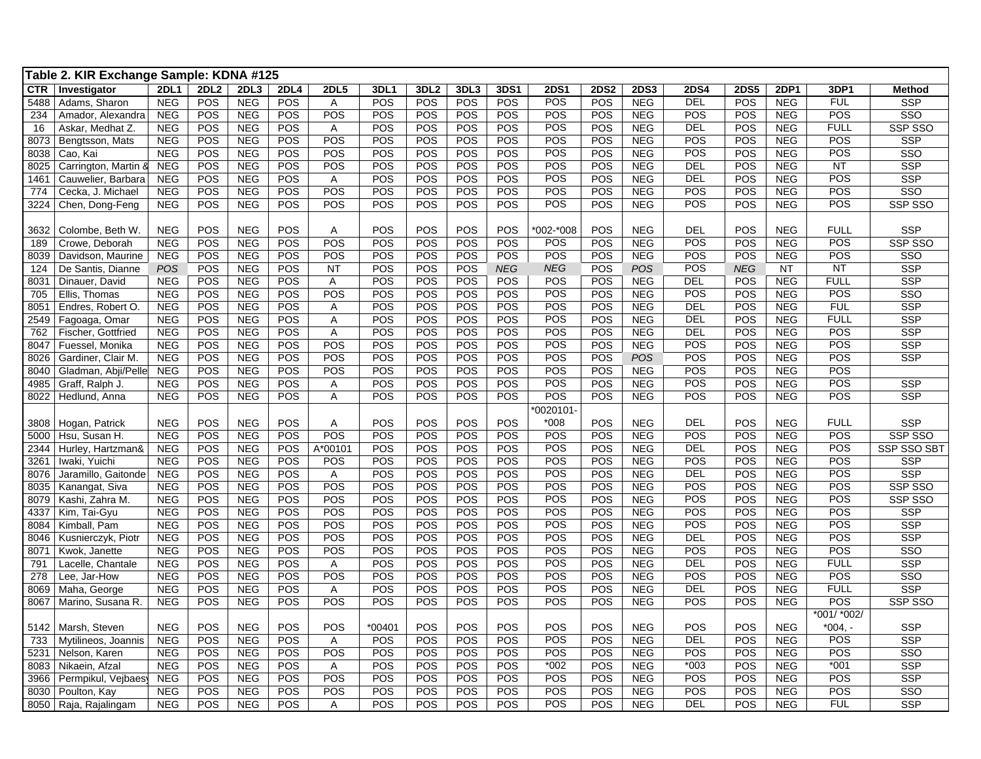| Table 2. KIR Exchange Sample: KDNA #125                                                                                                                                                                      |             |                          |             |                         |
|--------------------------------------------------------------------------------------------------------------------------------------------------------------------------------------------------------------|-------------|--------------------------|-------------|-------------------------|
| <b>CTR</b><br><b>2DL1</b><br><b>2DL2</b><br>2DL3<br><b>2DL4</b><br><b>2DL5</b><br>3DL1<br>3DL <sub>2</sub><br>3DL3<br>3DS1<br><b>2DS1</b><br><b>2DS2</b><br><b>2DS3</b><br><b>2DS4</b><br>Investigator       | <b>2DS5</b> | 2DP1                     | 3DP1        | <b>Method</b>           |
| <b>NEG</b><br>POS<br><b>NEG</b><br>POS<br>POS<br>POS<br>POS<br>POS<br>POS<br>POS<br><b>NEG</b><br><b>DEL</b><br>5488<br>Adams, Sharon<br>$\overline{A}$                                                      | POS         | <b>NEG</b>               | <b>FUL</b>  | <b>SSP</b>              |
| POS<br>POS<br>POS<br>POS<br><b>NEG</b><br>POS<br><b>NEG</b><br>POS<br>POS<br>POS<br>POS<br>POS<br><b>NEG</b><br>234<br>Amador, Alexandra                                                                     | POS         | <b>NEG</b>               | <b>POS</b>  | SSO                     |
| POS<br><b>NEG</b><br>POS<br>POS<br>POS<br>POS<br>POS<br>POS<br>POS<br><b>NEG</b><br><b>DEL</b><br><b>NEG</b><br>16<br>Askar, Medhat Z.<br>Α                                                                  | POS         | <b>NEG</b>               | <b>FULL</b> | SSP SSO                 |
| POS<br><b>NEG</b><br>POS<br>POS<br>POS<br>POS<br>POS<br>POS<br>POS<br>POS<br>POS<br><b>NEG</b><br>8073<br><b>NEG</b><br>Bengtsson, Mats                                                                      | POS         | <b>NEG</b>               | POS         | <b>SSP</b>              |
| POS<br><b>NEG</b><br>POS<br>POS<br>POS<br>POS<br>POS<br><b>NEG</b><br>POS<br><b>NEG</b><br>POS<br>POS<br>POS<br>8038<br>Cao, Kai                                                                             | POS         | <b>NEG</b>               | POS         | SSO                     |
| POS<br>POS<br><b>NEG</b><br>POS<br><b>NEG</b><br>POS<br>POS<br>POS<br>POS<br>POS<br>POS<br><b>NEG</b><br><b>DEL</b><br>8025<br>Carrington, Martin 8                                                          | POS         | <b>NEG</b>               | <b>NT</b>   | <b>SSP</b>              |
| POS<br>POS<br>POS<br><b>NEG</b><br><b>NEG</b><br><b>NEG</b><br>POS<br>POS<br>POS<br>POS<br>POS<br><b>DEL</b><br>Cauwelier, Barbara<br>Α<br>1461                                                              | POS         | <b>NEG</b>               | POS         | <b>SSP</b>              |
| POS<br>POS<br>POS<br><b>NEG</b><br>POS<br>POS<br>POS<br>POS<br>POS<br>POS<br>POS<br><b>NEG</b><br>Cecka, J. Michael<br><b>NEG</b><br>774                                                                     | POS         | <b>NEG</b>               | POS         | $\overline{\text{SSO}}$ |
| POS<br><b>NEG</b><br>POS<br>POS<br>POS<br>POS<br>POS<br>POS<br>POS<br>POS<br><b>NEG</b><br>POS<br>3224<br><b>NEG</b><br>Chen, Dong-Feng                                                                      | POS         | <b>NEG</b>               | POS         | SSP SSO                 |
|                                                                                                                                                                                                              |             |                          |             |                         |
| POS<br><b>NEG</b><br>POS<br><b>NEG</b><br>POS<br>POS<br>POS<br>POS<br>POS<br>002-*008<br><b>NEG</b><br><b>DEL</b><br>Colombe, Beth W.<br>Α<br>3632                                                           | POS         | <b>NEG</b>               | <b>FULL</b> | <b>SSP</b>              |
| POS<br>POS<br>$\overline{POS}$<br>POS<br><b>NEG</b><br>POS<br><b>NEG</b><br>POS<br>POS<br>POS<br>POS<br>POS<br><b>NEG</b><br>189<br>Crowe, Deborah                                                           | POS         | <b>NEG</b>               | POS         | SSP SSO                 |
| <b>POS</b><br><b>NEG</b><br>POS<br>POS<br>POS<br>POS<br>POS<br>POS<br>POS<br>POS<br><b>NEG</b><br>POS<br>Davidson, Maurine<br><b>NEG</b><br>8039                                                             | POS         | <b>NEG</b>               | POS         | SSO                     |
| POS<br>POS<br><b>NEG</b><br>POS<br>POS<br>POS<br>124<br>De Santis, Dianne<br>POS<br>POS<br><b>NEG</b><br><b>NT</b><br>POS<br>POS<br><b>NEG</b>                                                               | <b>NEG</b>  | <b>NT</b>                | <b>NT</b>   | <b>SSP</b>              |
| <b>NEG</b><br>POS<br><b>NEG</b><br>POS<br>POS<br>POS<br>POS<br>POS<br>POS<br>POS<br><b>NEG</b><br>DEL<br>8031<br>Dinauer, David<br>A                                                                         | POS         | <b>NEG</b>               | <b>FULL</b> | <b>SSP</b>              |
| POS<br>POS<br>POS<br>POS<br>POS<br>POS<br><b>NEG</b><br>POS<br><b>NEG</b><br>POS<br>POS<br>POS<br><b>NEG</b><br>705<br>Ellis, Thomas                                                                         | POS         | <b>NEG</b>               | POS         | SSO                     |
| POS<br><b>NEG</b><br>POS<br>POS<br>POS<br>POS<br>POS<br>POS<br>POS<br><b>NEG</b><br><b>DEL</b><br>Endres, Robert O.<br><b>NEG</b><br>8051<br>Α                                                               | POS         | <b>NEG</b>               | <b>FUL</b>  | <b>SSP</b>              |
| POS<br>POS<br>POS<br>POS<br>POS<br>POS<br>POS<br>POS<br><b>NEG</b><br><b>DEL</b><br><b>NEG</b><br><b>NEG</b><br>A<br>2549<br>Fagoaga, Omar                                                                   | POS         | <b>NEG</b>               | <b>FULL</b> | <b>SSP</b>              |
| POS<br>POS<br>POS<br>POS<br>POS<br>POS<br>POS<br>POS<br><b>NEG</b><br><b>DEL</b><br><b>NEG</b><br><b>NEG</b><br>Α<br>762<br>Fischer, Gottfried                                                               | POS         | <b>NEG</b>               | POS         | <b>SSP</b>              |
| POS<br>POS<br>POS<br>POS<br>POS<br>POS<br>POS<br>POS<br><b>NEG</b><br><b>NEG</b><br>POS<br>POS<br><b>NEG</b><br>8047<br>Fuessel, Monika                                                                      | POS         | <b>NEG</b>               | POS         | <b>SSP</b>              |
| POS<br>POS<br>POS<br>POS<br>POS<br>POS<br>POS<br><b>NEG</b><br><b>NEG</b><br>POS<br>POS<br>POS<br><b>POS</b><br>8026<br>Gardiner, Clair M.                                                                   | POS         | <b>NEG</b>               | POS         | <b>SSP</b>              |
| POS<br>POS<br>POS<br><b>NEG</b><br>POS<br>POS<br>POS<br>POS<br>POS<br>POS<br>POS<br><b>NEG</b><br>8040<br><b>NEG</b><br>Gladman, Abji/Pelle                                                                  | POS         | <b>NEG</b>               | <b>POS</b>  |                         |
| POS<br>POS<br>POS<br><b>NEG</b><br>POS<br>POS<br>POS<br>POS<br>POS<br>POS<br><b>NEG</b><br><b>NEG</b><br>4985<br>Graff, Ralph J.<br>A                                                                        | POS         | <b>NEG</b>               | POS         | <b>SSP</b>              |
| POS<br><b>POS</b><br>POS<br>POS<br>POS<br>POS<br>POS<br>POS<br><b>NEG</b><br>POS<br>8022<br><b>NEG</b><br><b>NEG</b><br>Hedlund, Anna<br>Α                                                                   | POS         | <b>NEG</b>               | POS         | <b>SSP</b>              |
| *0020101                                                                                                                                                                                                     |             |                          |             |                         |
| POS<br>$*008$<br>POS<br>DEL<br>POS<br><b>NEG</b><br>POS<br>POS<br>POS<br>POS<br><b>NEG</b><br>Hogan, Patrick<br><b>NEG</b><br>Α<br>3808                                                                      | POS         | <b>NEG</b>               | <b>FULL</b> | SSP                     |
| POS<br>POS<br><b>NEG</b><br>POS<br>POS<br>POS<br>POS<br>POS<br>POS<br>POS<br>POS<br><b>NEG</b><br><b>NEG</b><br>5000<br>Hsu, Susan H.                                                                        | POS         | <b>NEG</b>               | POS         | SSP SSO                 |
| POS<br>DEL<br>POS<br><b>NEG</b><br>POS<br>A*00101<br>POS<br>POS<br>POS<br>POS<br>POS<br><b>NEG</b><br><b>NEG</b><br>2344<br>Hurley, Hartzman&                                                                | POS         | <b>NEG</b>               | <b>POS</b>  | <b>SSP SSO SBT</b>      |
| POS<br>POS<br><b>NEG</b><br>POS<br>POS<br>POS<br>POS<br>POS<br>POS<br><b>NEG</b><br>POS<br>Iwaki, Yuichi<br><b>NEG</b><br>POS<br>3261                                                                        | POS         | <b>NEG</b>               | POS         | <b>SSP</b>              |
| <b>NEG</b><br><b>POS</b><br>POS<br>POS<br>POS<br>POS<br>POS<br>POS<br>POS<br><b>NEG</b><br><b>DEL</b><br><b>NEG</b><br>8076<br>Jaramillo, Gaitonde<br>Α                                                      | POS         | <b>NEG</b>               | POS         | <b>SSP</b>              |
| POS<br>POS<br>POS<br>POS<br>POS<br>POS<br>POS<br>POS<br>POS<br><b>NEG</b><br><b>NEG</b><br>POS<br><b>NEG</b><br>8035<br>Kanangat, Siva                                                                       | POS         | <b>NEG</b>               | POS         | SSP SSO                 |
| POS<br>POS<br>POS<br>POS<br><b>NEG</b><br>POS<br><b>NEG</b><br>POS<br>POS<br>POS<br>POS<br>POS<br><b>NEG</b><br>8079<br>Kashi, Zahra M.                                                                      | POS         | <b>NEG</b>               | POS         | SSP SSO                 |
| POS<br>POS<br>POS<br><b>NEG</b><br>POS<br><b>NEG</b><br>POS<br>POS<br>POS<br>POS<br>POS<br>POS<br><b>NEG</b><br>4337<br>Kim, Tai-Gyu                                                                         | POS         | <b>NEG</b>               | POS         | SSP                     |
| POS<br><b>NEG</b><br>POS<br>POS<br>POS<br>POS<br>POS<br>POS<br>POS<br>POS<br><b>NEG</b><br>POS<br>Kimball, Pam<br><b>NEG</b><br>8084                                                                         | POS         | <b>NEG</b>               | POS         | <b>SSP</b>              |
| <b>NEG</b><br>POS<br><b>NEG</b><br>POS<br>POS<br>POS<br>POS<br>POS<br>POS<br>POS<br>POS<br><b>NEG</b><br><b>DEL</b><br>8046<br>Kusnierczyk, Piotr<br>POS<br>POS<br>POS<br>POS                                | POS         | <b>NEG</b>               | POS<br>POS  | <b>SSP</b>              |
| <b>NEG</b><br><b>NEG</b><br>POS<br>POS<br>POS<br>POS<br>POS<br><b>NEG</b><br>POS<br>8071<br>Kwok, Janette<br>POS<br>POS<br>POS<br><b>DEL</b>                                                                 | POS         | <b>NEG</b>               | <b>FULL</b> | SSO<br><b>SSP</b>       |
| <b>NEG</b><br>POS<br><b>NEG</b><br>POS<br>POS<br>POS<br>POS<br><b>NEG</b><br>791<br>Lacelle, Chantale<br>Α<br>POS<br><b>NEG</b><br>POS<br><b>NEG</b><br>POS<br>POS<br>POS<br>POS<br>POS<br>POS<br>POS<br>POS | POS<br>POS  | <b>NEG</b>               | POS         | SSO                     |
| 278<br><b>NEG</b><br>Lee, Jar-How<br>POS<br>POS<br>POS<br>POS<br>POS<br>POS<br>POS<br>POS<br><b>NEG</b><br>DEL<br><b>NEG</b><br><b>NEG</b>                                                                   | POS         | <b>NEG</b><br><b>NEG</b> | <b>FULL</b> | <b>SSP</b>              |
| Maha, George<br>8069<br>Α<br>POS<br>POS<br>POS<br>POS<br><b>NEG</b><br><b>NEG</b><br>POS<br><b>NEG</b><br>POS<br>POS<br>POS<br>POS<br>POS<br>8067<br>Marino, Susana R.                                       | POS         | <b>NEG</b>               | POS         | SSP SSO                 |
|                                                                                                                                                                                                              |             |                          | *001/ *002/ |                         |
| POS<br>POS<br>POS<br><b>NEG</b><br><b>POS</b><br><b>NEG</b><br>POS<br>POS<br>*00401<br>POS<br>POS<br><b>NEG</b><br>POS<br>Marsh, Steven<br>5142                                                              | POS         | <b>NEG</b>               | $*004. -$   | <b>SSP</b>              |
| POS<br><b>DEL</b><br><b>NEG</b><br>POS<br><b>NEG</b><br>POS<br>POS<br>POS<br>POS<br>POS<br>POS<br><b>NEG</b><br>733<br>Mytilineos, Joannis<br>A                                                              | POS         | <b>NEG</b>               | POS         | <b>SSP</b>              |
| POS<br><b>NEG</b><br>POS<br>POS<br>POS<br>POS<br>POS<br>POS<br>POS<br>POS<br><b>NEG</b><br>POS<br><b>NEG</b><br>5231<br>Nelson, Karen                                                                        | POS         | <b>NEG</b>               | POS         | SSO                     |
| <b>NEG</b><br>POS<br>POS<br>POS<br>POS<br>POS<br>POS<br>$*002$<br>POS<br><b>NEG</b><br>$*003$<br><b>NEG</b><br>8083<br>Nikaein, Afzal<br>Α                                                                   | POS         | <b>NEG</b>               | $*001$      | <b>SSP</b>              |
| <b>NEG</b><br>POS<br><b>NEG</b><br>POS<br>POS<br>POS<br>POS<br>POS<br>POS<br>POS<br>POS<br><b>NEG</b><br>POS<br>3966<br>Permpikul, Vejbaes                                                                   | POS         | <b>NEG</b>               | POS         | <b>SSP</b>              |
| POS<br>POS<br><b>NEG</b><br>POS<br><b>NEG</b><br>POS<br>POS<br>POS<br>POS<br>POS<br>POS<br>POS<br><b>NEG</b><br>8030<br>Poulton, Kay                                                                         | POS         | <b>NEG</b>               | POS         | SSO                     |
| POS<br>POS<br><b>NEG</b><br>POS<br>POS<br>POS<br>POS<br>POS<br>POS<br><b>NEG</b><br>DEL<br>8050<br>Raja, Rajalingam<br><b>NEG</b><br>Α                                                                       | POS         | <b>NEG</b>               | <b>FUL</b>  | <b>SSP</b>              |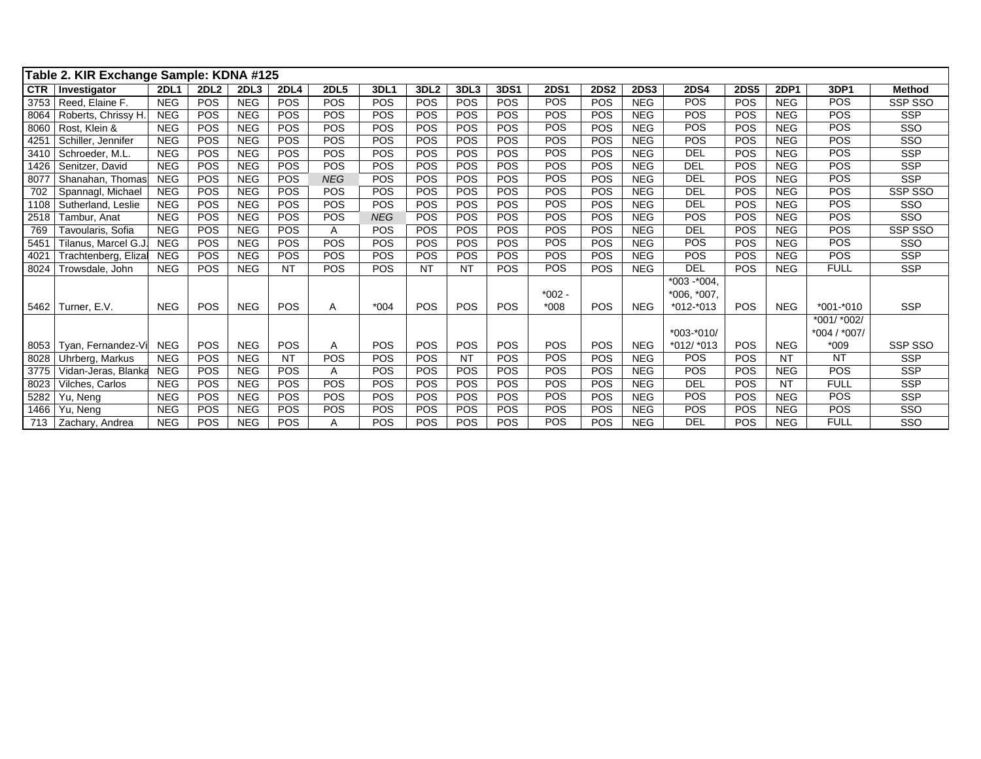|               | Table 2. KIR Exchange Sample: KDNA #125 |             |                  |            |             |             |            |                  |            |             |             |             |             |               |             |             |               |               |
|---------------|-----------------------------------------|-------------|------------------|------------|-------------|-------------|------------|------------------|------------|-------------|-------------|-------------|-------------|---------------|-------------|-------------|---------------|---------------|
| <b>CTR</b>    | Investigator                            | <b>2DL1</b> | 2DL <sub>2</sub> | 2DL3       | <b>2DL4</b> | <b>2DL5</b> | 3DL1       | 3DL <sub>2</sub> | 3DL3       | <b>3DS1</b> | <b>2DS1</b> | <b>2DS2</b> | <b>2DS3</b> | <b>2DS4</b>   | <b>2DS5</b> | <b>2DP1</b> | 3DP1          | <b>Method</b> |
| 3753          | Reed. Elaine F.                         | <b>NEG</b>  | POS              | <b>NEG</b> | <b>POS</b>  | <b>POS</b>  | POS        | <b>POS</b>       | POS        | <b>POS</b>  | POS         | <b>POS</b>  | <b>NEG</b>  | POS           | POS         | <b>NEG</b>  | <b>POS</b>    | SSP SSO       |
| 8064          | Roberts, Chrissy H.                     | <b>NEG</b>  | POS              | <b>NEG</b> | <b>POS</b>  | <b>POS</b>  | POS        | POS              | POS        | <b>POS</b>  | POS         | POS         | <b>NEG</b>  | POS           | <b>POS</b>  | <b>NEG</b>  | POS           | <b>SSP</b>    |
| 8060          | Rost. Klein &                           | <b>NEG</b>  | POS              | <b>NEG</b> | <b>POS</b>  | <b>POS</b>  | POS        | <b>POS</b>       | POS        | <b>POS</b>  | POS         | <b>POS</b>  | <b>NEG</b>  | POS           | <b>POS</b>  | <b>NEG</b>  | <b>POS</b>    | SSO           |
| 4251          | Schiller, Jennifer                      | <b>NEG</b>  | POS              | <b>NEG</b> | <b>POS</b>  | <b>POS</b>  | POS        | POS              | POS        | POS         | POS         | POS         | <b>NEG</b>  | POS           | POS         | <b>NEG</b>  | <b>POS</b>    | SSO           |
| 3410          | Schroeder, M.L.                         | <b>NEG</b>  | POS              | <b>NEG</b> | POS         | POS         | POS        | <b>POS</b>       | POS        | <b>POS</b>  | POS         | POS         | <b>NEG</b>  | <b>DEL</b>    | POS         | <b>NEG</b>  | POS           | <b>SSP</b>    |
| 1426          | Senitzer, David                         | <b>NEG</b>  | POS              | <b>NEG</b> | <b>POS</b>  | <b>POS</b>  | POS        | <b>POS</b>       | POS        | <b>POS</b>  | POS         | POS         | <b>NEG</b>  | <b>DEL</b>    | POS         | <b>NEG</b>  | <b>POS</b>    | <b>SSP</b>    |
| 8077          | Shanahan, Thomas                        | <b>NEG</b>  | POS              | <b>NEG</b> | <b>POS</b>  | <b>NEG</b>  | POS        | <b>POS</b>       | POS        | <b>POS</b>  | POS         | <b>POS</b>  | <b>NEG</b>  | <b>DEL</b>    | POS         | <b>NEG</b>  | <b>POS</b>    | <b>SSP</b>    |
| 702           | Spannagl, Michael                       | <b>NEG</b>  | POS              | <b>NEG</b> | <b>POS</b>  | POS         | POS        | <b>POS</b>       | POS        | <b>POS</b>  | POS         | POS         | <b>NEG</b>  | <b>DEL</b>    | POS         | <b>NEG</b>  | <b>POS</b>    | SSP SSO       |
| 1108          | Sutherland, Leslie                      | <b>NEG</b>  | POS              | <b>NEG</b> | <b>POS</b>  | POS         | POS        | <b>POS</b>       | POS        | POS         | POS         | POS         | <b>NEG</b>  | <b>DEL</b>    | POS         | <b>NEG</b>  | <b>POS</b>    | SSO           |
| 2518          | Tambur. Anat                            | <b>NEG</b>  | POS              | <b>NEG</b> | <b>POS</b>  | POS         | <b>NEG</b> | <b>POS</b>       | POS        | <b>POS</b>  | POS         | POS         | <b>NEG</b>  | POS           | <b>POS</b>  | <b>NEG</b>  | POS           | SSO           |
| 769           | Tavoularis. Sofia                       | <b>NEG</b>  | POS              | <b>NEG</b> | <b>POS</b>  | A           | POS        | <b>POS</b>       | POS        | <b>POS</b>  | POS         | POS         | <b>NEG</b>  | <b>DEL</b>    | POS         | <b>NEG</b>  | <b>POS</b>    | SSP SSO       |
| 5451          | Tilanus, Marcel G.J.                    | <b>NEG</b>  | POS              | <b>NEG</b> | <b>POS</b>  | POS         | POS        | POS              | POS        | POS         | POS         | POS         | <b>NEG</b>  | <b>POS</b>    | POS         | <b>NEG</b>  | <b>POS</b>    | SSO           |
| $402^{\circ}$ | Trachtenberg, Eliza                     | <b>NEG</b>  | POS              | <b>NEG</b> | <b>POS</b>  | <b>POS</b>  | POS        | POS              | POS        | <b>POS</b>  | POS         | POS         | <b>NEG</b>  | POS           | POS         | <b>NEG</b>  | <b>POS</b>    | <b>SSP</b>    |
| 8024          | Trowsdale, John                         | <b>NEG</b>  | POS              | <b>NEG</b> | <b>NT</b>   | <b>POS</b>  | POS        | <b>NT</b>        | <b>NT</b>  | <b>POS</b>  | POS         | POS         | <b>NEG</b>  | DEL           | <b>POS</b>  | <b>NEG</b>  | <b>FULL</b>   | <b>SSP</b>    |
|               |                                         |             |                  |            |             |             |            |                  |            |             |             |             |             | $*003 - 004.$ |             |             |               |               |
|               |                                         |             |                  |            |             |             |            |                  |            |             | $*002 -$    |             |             | $*006, *007,$ |             |             |               |               |
| 5462          | Turner, E.V.                            | <b>NEG</b>  | <b>POS</b>       | <b>NEG</b> | <b>POS</b>  | A           | $*004$     | <b>POS</b>       | <b>POS</b> | <b>POS</b>  | $*008$      | POS         | <b>NEG</b>  | $*012-*013$   | <b>POS</b>  | <b>NEG</b>  | $*001 - *010$ | <b>SSP</b>    |
|               |                                         |             |                  |            |             |             |            |                  |            |             |             |             |             |               |             |             | *001/ *002/   |               |
|               |                                         |             |                  |            |             |             |            |                  |            |             |             |             |             | $*003 - 010/$ |             |             | *004 / *007/  |               |
| 8053          | Tvan. Fernandez-Vi                      | <b>NEG</b>  | POS              | <b>NEG</b> | <b>POS</b>  | A           | POS        | POS              | <b>POS</b> | POS         | POS         | POS         | <b>NEG</b>  | $*012/*013$   | POS         | <b>NEG</b>  | $*009$        | SSP SSO       |
| 8028          | Uhrberg, Markus                         | <b>NEG</b>  | POS              | <b>NEG</b> | <b>NT</b>   | <b>POS</b>  | POS        | <b>POS</b>       | <b>NT</b>  | <b>POS</b>  | POS         | POS         | <b>NEG</b>  | <b>POS</b>    | <b>POS</b>  | <b>NT</b>   | <b>NT</b>     | <b>SSP</b>    |
| 3775          | Vidan-Jeras, Blanka                     | <b>NEG</b>  | POS              | <b>NEG</b> | <b>POS</b>  | A           | POS        | <b>POS</b>       | POS        | <b>POS</b>  | POS         | POS         | <b>NEG</b>  | <b>POS</b>    | POS         | <b>NEG</b>  | POS           | <b>SSP</b>    |
| 8023          | Vilches, Carlos                         | <b>NEG</b>  | POS              | <b>NEG</b> | <b>POS</b>  | <b>POS</b>  | POS        | POS              | <b>POS</b> | <b>POS</b>  | POS         | POS         | <b>NEG</b>  | <b>DEL</b>    | POS         | <b>NT</b>   | <b>FULL</b>   | <b>SSP</b>    |
| 5282          | Yu, Neng                                | <b>NEG</b>  | POS              | <b>NEG</b> | <b>POS</b>  | <b>POS</b>  | POS        | <b>POS</b>       | POS        | <b>POS</b>  | POS         | POS         | <b>NEG</b>  | POS           | <b>POS</b>  | <b>NEG</b>  | <b>POS</b>    | <b>SSP</b>    |
| 1466          | Yu. Nena                                | <b>NEG</b>  | POS              | <b>NEG</b> | <b>POS</b>  | <b>POS</b>  | POS        | <b>POS</b>       | POS        | <b>POS</b>  | POS         | POS         | <b>NEG</b>  | <b>POS</b>    | POS         | <b>NEG</b>  | <b>POS</b>    | SSO           |
| 713           | Zachary, Andrea                         | <b>NEG</b>  | POS              | <b>NEG</b> | <b>POS</b>  | A           | POS        | <b>POS</b>       | POS        | POS         | POS         | POS         | <b>NEG</b>  | DEL           | <b>POS</b>  | <b>NEG</b>  | <b>FULL</b>   | SSO           |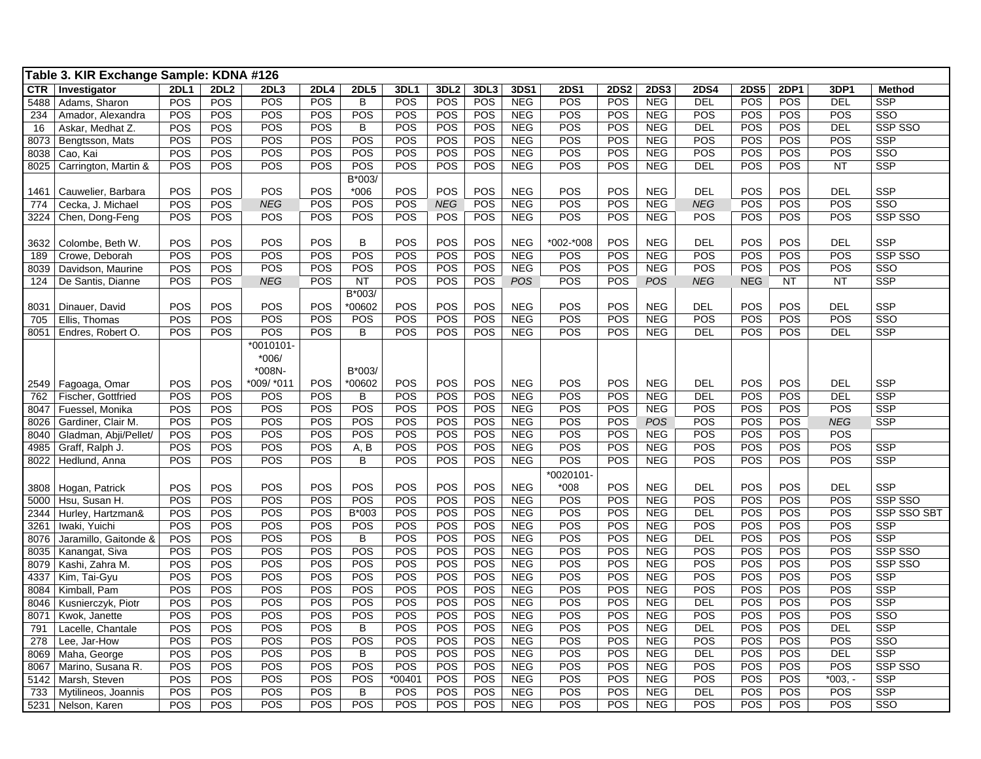|            | Table 3. KIR Exchange Sample: KDNA #126 |             |             |            |             |                |        |                  |            |            |             |             |             |             |             |             |            |                |
|------------|-----------------------------------------|-------------|-------------|------------|-------------|----------------|--------|------------------|------------|------------|-------------|-------------|-------------|-------------|-------------|-------------|------------|----------------|
| <b>CTR</b> | Investigator                            | <b>2DL1</b> | <b>2DL2</b> | 2DL3       | <b>2DL4</b> | <b>2DL5</b>    | 3DL1   | 3DL <sub>2</sub> | 3DL3       | 3DS1       | <b>2DS1</b> | <b>2DS2</b> | <b>2DS3</b> | <b>2DS4</b> | <b>2DS5</b> | <b>2DP1</b> | 3DP1       | <b>Method</b>  |
| 5488       | Adams, Sharon                           | <b>POS</b>  | <b>POS</b>  | POS        | POS         | $\overline{B}$ | POS    | POS              | <b>POS</b> | <b>NEG</b> | POS         | POS         | <b>NEG</b>  | DEL         | POS         | <b>POS</b>  | <b>DEL</b> | <b>SSP</b>     |
| 234        | Amador, Alexandra                       | POS         | POS         | POS        | POS         | POS            | POS    | POS              | POS        | <b>NEG</b> | POS         | POS         | <b>NEG</b>  | POS         | POS         | POS         | <b>POS</b> | SSO            |
| 16         | Askar, Medhat Z.                        | POS         | POS         | POS        | POS         | B              | POS    | POS              | POS        | <b>NEG</b> | POS         | POS         | <b>NEG</b>  | <b>DEL</b>  | POS         | POS         | <b>DEL</b> | SSP SSO        |
| 8073       | Bengtsson, Mats                         | POS         | POS         | POS        | POS         | POS            | POS    | POS              | POS        | <b>NEG</b> | POS         | POS         | <b>NEG</b>  | POS         | POS         | POS         | POS        | <b>SSP</b>     |
| 8038       | Cao, Kai                                | POS         | POS         | POS        | POS         | POS            | POS    | POS              | POS        | <b>NEG</b> | POS         | POS         | <b>NEG</b>  | POS         | POS         | POS         | POS        | SSO            |
| 8025       | Carrington, Martin &                    | POS         | POS         | POS        | POS         | POS            | POS    | POS              | POS        | <b>NEG</b> | POS         | POS         | <b>NEG</b>  | <b>DEL</b>  | POS         | <b>POS</b>  | <b>NT</b>  | <b>SSP</b>     |
|            |                                         |             |             |            |             | B*003/         |        |                  |            |            |             |             |             |             |             |             |            |                |
| 1461       | Cauwelier, Barbara                      | POS         | <b>POS</b>  | POS        | POS         | $*006$         | POS    | POS              | POS        | <b>NEG</b> | POS         | POS         | <b>NEG</b>  | <b>DEL</b>  | POS         | POS         | DEL        | <b>SSP</b>     |
| 774        | Cecka, J. Michael                       | POS         | POS         | <b>NEG</b> | POS         | POS            | POS    | <b>NEG</b>       | POS        | <b>NEG</b> | POS         | POS         | <b>NEG</b>  | <b>NEG</b>  | POS         | POS         | POS        | SSO            |
| 3224       | Chen, Dong-Feng                         | POS         | POS         | POS        | POS         | POS            | POS    | <b>POS</b>       | POS        | <b>NEG</b> | POS         | POS         | <b>NEG</b>  | <b>POS</b>  | POS         | <b>POS</b>  | POS        | <b>SSP SSO</b> |
|            |                                         |             |             |            |             |                |        |                  |            |            |             |             |             |             |             |             |            |                |
| 3632       | Colombe, Beth W.                        | POS         | POS         | POS        | POS         | B              | POS    | POS              | POS        | <b>NEG</b> | *002-*008   | POS         | <b>NEG</b>  | <b>DEL</b>  | POS         | POS         | <b>DEL</b> | <b>SSP</b>     |
| 189        | Crowe, Deborah                          | POS         | POS         | POS        | POS         | POS            | POS    | POS              | POS        | <b>NEG</b> | POS         | POS         | <b>NEG</b>  | POS         | POS         | POS         | POS        | SSP SSO        |
| 8039       | Davidson, Maurine                       | POS         | POS         | POS        | POS         | POS            | POS    | POS              | POS        | <b>NEG</b> | POS         | POS         | <b>NEG</b>  | POS         | POS         | POS         | POS        | SSO            |
| 124        | De Santis, Dianne                       | POS         | POS         | <b>NEG</b> | POS         | <b>NT</b>      | POS    | POS              | POS        | <b>POS</b> | POS         | POS         | <b>POS</b>  | <b>NEG</b>  | <b>NEG</b>  | <b>NT</b>   | <b>NT</b>  | <b>SSP</b>     |
|            |                                         |             |             |            |             | B*003/         |        |                  |            |            |             |             |             |             |             |             |            |                |
| 8031       | Dinauer, David                          | POS         | POS         | POS        | POS         | *00602         | POS    | POS              | POS        | <b>NEG</b> | POS         | POS         | <b>NEG</b>  | <b>DEL</b>  | POS         | POS         | <b>DEL</b> | <b>SSP</b>     |
| 705        | Ellis, Thomas                           | POS         | POS         | POS        | POS         | POS            | POS    | POS              | <b>POS</b> | <b>NEG</b> | POS         | POS         | <b>NEG</b>  | POS         | POS         | POS         | <b>POS</b> | SSO            |
| 8051       | Endres, Robert O.                       | POS         | POS         | POS        | POS         | B              | POS    | POS              | POS        | <b>NEG</b> | POS         | POS         | <b>NEG</b>  | <b>DEL</b>  | POS         | POS         | DEL        | <b>SSP</b>     |
|            |                                         |             |             | $*0010101$ |             |                |        |                  |            |            |             |             |             |             |             |             |            |                |
|            |                                         |             |             | $*006/$    |             |                |        |                  |            |            |             |             |             |             |             |             |            |                |
|            |                                         |             |             | *008N-     |             | B*003/         |        |                  |            |            |             |             |             |             |             |             |            |                |
| 2549       | Fagoaga, Omar                           | POS         | POS         | *009/ *011 | POS         | *00602         | POS    | <b>POS</b>       | POS        | <b>NEG</b> | POS         | POS         | <b>NEG</b>  | <b>DEL</b>  | POS         | POS         | DEL        | <b>SSP</b>     |
| 762        | Fischer, Gottfried                      | POS         | POS         | POS        | POS         | B              | POS    | POS              | POS        | <b>NEG</b> | POS         | POS         | <b>NEG</b>  | <b>DEL</b>  | POS         | POS         | <b>DEL</b> | SSP            |
| 8047       | Fuessel, Monika                         | POS         | POS         | POS        | POS         | POS            | POS    | POS              | POS        | <b>NEG</b> | POS         | POS         | <b>NEG</b>  | POS         | POS         | POS         | POS        | <b>SSP</b>     |
| 8026       | Gardiner, Clair M.                      | <b>POS</b>  | POS         | POS        | POS         | POS            | POS    | POS              | POS        | <b>NEG</b> | POS         | POS         | POS         | POS         | POS         | POS         | <b>NEG</b> | <b>SSP</b>     |
| 8040       | Gladman, Abji/Pellet/                   | POS         | POS         | POS        | POS         | POS            | POS    | POS              | <b>POS</b> | <b>NEG</b> | POS         | POS         | <b>NEG</b>  | POS         | POS         | POS         | POS        |                |
| 4985       | Graff, Ralph J.                         | POS         | POS         | POS        | POS         | A, B           | POS    | POS              | POS        | <b>NEG</b> | POS         | POS         | <b>NEG</b>  | POS         | POS         | POS         | POS        | <b>SSP</b>     |
| 8022       | Hedlund, Anna                           | POS         | POS         | POS        | POS         | B              | POS    | POS              | POS        | <b>NEG</b> | POS         | POS         | <b>NEG</b>  | POS         | POS         | POS         | POS        | <b>SSP</b>     |
|            |                                         |             |             |            |             |                |        |                  |            |            | $*0020101$  |             |             |             |             |             |            |                |
| 3808       | Hogan, Patrick                          | POS         | POS         | POS        | POS         | POS            | POS    | POS              | POS        | <b>NEG</b> | $*008$      | POS         | <b>NEG</b>  | <b>DEL</b>  | POS         | POS         | DEL        | <b>SSP</b>     |
| 5000       | Hsu, Susan H.                           | POS         | POS         | POS        | POS         | POS            | POS    | POS              | POS        | <b>NEG</b> | POS         | POS         | <b>NEG</b>  | <b>POS</b>  | POS         | POS         | <b>POS</b> | SSP SSO        |
| 2344       | Hurley, Hartzman&                       | POS         | POS         | POS        | POS         | B*003          | POS    | POS              | POS        | <b>NEG</b> | POS         | POS         | <b>NEG</b>  | <b>DEL</b>  | POS         | POS         | POS        | SSP SSO SBT    |
| 3261       | Iwaki, Yuichi                           | <b>POS</b>  | POS         | POS        | POS         | POS            | POS    | POS              | POS        | <b>NEG</b> | POS         | POS         | <b>NEG</b>  | POS         | POS         | POS         | POS        | <b>SSP</b>     |
| 8076       | Jaramillo, Gaitonde &                   | <b>POS</b>  | POS         | POS        | POS         | B              | POS    | POS              | POS        | <b>NEG</b> | POS         | POS         | <b>NEG</b>  | <b>DEL</b>  | POS         | POS         | POS        | SSP            |
| 8035       | Kanangat, Siva                          | POS         | POS         | POS        | POS         | POS            | POS    | POS              | POS        | <b>NEG</b> | POS         | POS         | <b>NEG</b>  | POS         | POS         | POS         | POS        | SSP SSO        |
| 8079       | Kashi, Zahra M.                         | POS         | POS         | POS        | POS         | POS            | POS    | POS              | POS        | <b>NEG</b> | POS         | POS         | <b>NEG</b>  | POS         | POS         | POS         | POS        | SSP SSO        |
| 4337       | Kim, Tai-Gyu                            | POS         | POS         | POS        | POS         | POS            | POS    | POS              | POS        | <b>NEG</b> | POS         | POS         | <b>NEG</b>  | POS         | POS         | POS         | POS        | <b>SSP</b>     |
| 8084       | Kimball, Pam                            | POS         | POS         | POS        | POS         | POS            | POS    | POS              | POS        | <b>NEG</b> | POS         | POS         | <b>NEG</b>  | POS         | POS         | POS         | POS        | <b>SSP</b>     |
| 8046       | Kusnierczyk, Piotr                      | POS         | POS         | POS        | POS         | POS            | POS    | POS              | POS        | <b>NEG</b> | POS         | POS         | <b>NEG</b>  | <b>DEL</b>  | POS         | POS         | POS        | <b>SSP</b>     |
| 8071       | Kwok, Janette                           | POS         | POS         | POS        | POS         | POS            | POS    | POS              | POS        | <b>NEG</b> | POS         | POS         | <b>NEG</b>  | POS         | POS         | POS         | POS        | SSO            |
| 791        | Lacelle, Chantale                       | POS         | POS         | POS        | POS         | B              | POS    | POS              | POS        | <b>NEG</b> | POS         | POS         | <b>NEG</b>  | <b>DEL</b>  | POS         | POS         | <b>DEL</b> | <b>SSP</b>     |
| 278        | Lee, Jar-How                            | POS         | POS         | POS        | POS         | POS            | POS    | POS              | POS        | <b>NEG</b> | POS         | POS         | <b>NEG</b>  | POS         | POS         | POS         | POS        | SSO            |
| 8069       | Maha, George                            | POS         | POS         | POS        | POS         | B              | POS    | POS              | POS        | <b>NEG</b> | POS         | POS         | <b>NEG</b>  | <b>DEL</b>  | POS         | POS         | <b>DEL</b> | <b>SSP</b>     |
| 8067       | Marino, Susana R.                       | POS         | POS         | POS        | POS         | POS            | POS    | POS              | POS        | <b>NEG</b> | POS         | POS         | <b>NEG</b>  | POS         | POS         | POS         | POS        | <b>SSP SSO</b> |
| 5142       | Marsh, Steven                           | POS         | POS         | POS        | POS         | POS            | *00401 | POS              | POS        | <b>NEG</b> | POS         | POS         | <b>NEG</b>  | POS         | POS         | POS         | $*003, -$  | <b>SSP</b>     |
| 733        | Mytilineos, Joannis                     | POS         | POS         | POS        | POS         | B              | POS    | POS              | POS        | <b>NEG</b> | POS         | POS         | <b>NEG</b>  | <b>DEL</b>  | POS         | POS         | POS        | SSP            |
| 5231       | Nelson, Karen                           | POS         | POS         | POS        | POS         | POS            | POS    | POS              | POS        | <b>NEG</b> | POS         | POS         | <b>NEG</b>  | POS         | POS         | POS         | POS        | SSO            |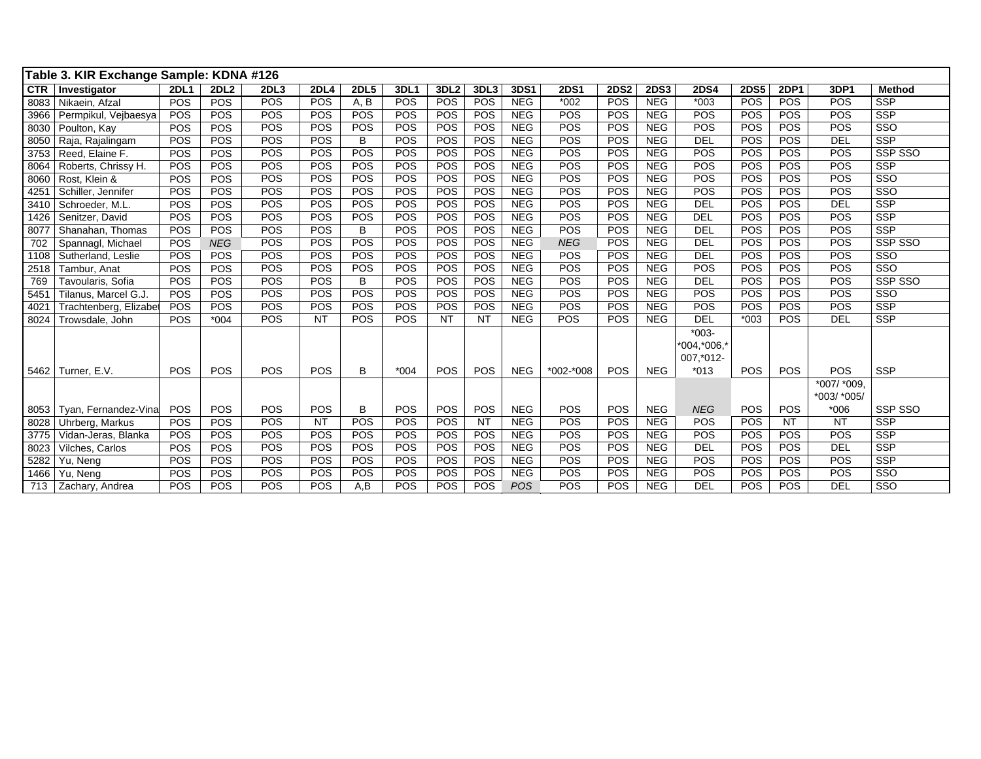|            | Table 3. KIR Exchange Sample: KDNA #126 |             |             |                  |             |             |        |            |            |            |             |             |             |             |             |             |             |               |
|------------|-----------------------------------------|-------------|-------------|------------------|-------------|-------------|--------|------------|------------|------------|-------------|-------------|-------------|-------------|-------------|-------------|-------------|---------------|
| <b>CTR</b> | Investigator                            | <b>2DL1</b> | <b>2DL2</b> | 2DL <sub>3</sub> | <b>2DL4</b> | <b>2DL5</b> | 3DL1   | 3DL2       | 3DL3       | 3DS1       | <b>2DS1</b> | <b>2DS2</b> | <b>2DS3</b> | <b>2DS4</b> | <b>2DS5</b> | <b>2DP1</b> | 3DP1        | <b>Method</b> |
| 8083       | Nikaein, Afzal                          | POS         | <b>POS</b>  | POS              | POS         | A, B        | POS    | POS        | POS        | <b>NEG</b> | $*002$      | POS         | <b>NEG</b>  | $*003$      | <b>POS</b>  | <b>POS</b>  | POS         | <b>SSP</b>    |
| 3966       | Permpikul, Vejbaesya                    | POS         | POS         | POS              | POS         | <b>POS</b>  | POS    | POS        | POS        | <b>NEG</b> | POS         | POS         | <b>NEG</b>  | POS         | POS         | POS         | POS         | <b>SSP</b>    |
| 8030       | Poulton, Kay                            | POS         | POS         | POS              | POS         | POS         | POS    | POS        | POS        | <b>NEG</b> | POS         | POS         | <b>NEG</b>  | POS         | POS         | POS         | POS         | SSO           |
| 8050       | Raja, Rajalingam                        | POS         | POS         | POS              | POS         | B           | POS    | POS        | POS        | <b>NEG</b> | POS         | POS         | <b>NEG</b>  | <b>DEL</b>  | POS         | POS         | <b>DEL</b>  | SSP           |
| 3753       | Reed, Elaine F.                         | POS         | POS         | POS              | POS         | POS         | POS    | POS        | POS        | <b>NEG</b> | POS         | <b>POS</b>  | <b>NEG</b>  | POS         | POS         | POS         | POS         | SSP SSO       |
| 8064       | Roberts, Chrissy H.                     | POS         | POS         | POS              | POS         | POS         | POS    | POS        | POS        | <b>NEG</b> | POS         | POS         | <b>NEG</b>  | POS         | POS         | POS         | POS         | <b>SSP</b>    |
| 8060       | Rost. Klein &                           | POS         | POS         | POS              | POS         | POS         | POS    | POS        | POS        | <b>NEG</b> | POS         | POS         | NEG         | POS         | POS         | POS         | POS         | SSO           |
| 4251       | Schiller, Jennifer                      | POS         | POS         | POS              | POS         | POS         | POS    | POS        | POS        | <b>NEG</b> | POS         | POS         | <b>NEG</b>  | POS         | POS         | POS         | POS         | SSO           |
| 3410       | Schroeder, M.L.                         | POS         | POS         | POS              | POS         | POS         | POS    | POS        | POS        | <b>NEG</b> | POS         | POS         | <b>NEG</b>  | <b>DEL</b>  | POS         | POS         | <b>DEL</b>  | SSP           |
| 1426       | Senitzer, David                         | POS         | POS         | POS              | POS         | POS         | POS    | POS        | POS        | <b>NEG</b> | POS         | POS         | <b>NEG</b>  | <b>DEL</b>  | POS         | POS         | POS         | <b>SSP</b>    |
| 8077       | Shanahan, Thomas                        | POS         | POS         | POS              | POS         | B           | POS    | POS        | POS        | <b>NEG</b> | POS         | POS         | <b>NEG</b>  | DEL         | POS         | POS         | POS         | <b>SSP</b>    |
| 702        | Spannagl, Michael                       | POS         | <b>NEG</b>  | POS              | POS         | POS         | POS    | POS        | POS        | <b>NEG</b> | <b>NEG</b>  | POS         | <b>NEG</b>  | DEL         | POS         | POS         | POS         | SSP SSO       |
| 1108       | Sutherland, Leslie                      | POS         | POS         | POS              | POS         | POS         | POS    | POS        | POS        | <b>NEG</b> | POS         | POS         | <b>NEG</b>  | <b>DEL</b>  | POS         | POS         | POS         | SSO           |
| 2518       | Tambur, Anat                            | POS         | POS         | POS              | <b>POS</b>  | POS         | POS    | POS        | POS        | <b>NEG</b> | POS         | <b>POS</b>  | <b>NEG</b>  | POS         | <b>POS</b>  | POS         | POS         | SSO           |
| 769        | Tavoularis, Sofia                       | POS         | POS         | POS              | POS         | B           | POS    | POS        | POS        | <b>NEG</b> | POS         | POS         | <b>NEG</b>  | <b>DEL</b>  | POS         | POS         | POS         | SSP SSO       |
| 5451       | Tilanus, Marcel G.J.                    | POS         | POS         | POS              | POS         | POS         | POS    | POS        | POS        | <b>NEG</b> | POS         | POS         | <b>NEG</b>  | POS         | POS         | POS         | POS         | SSO           |
| 4021       | Trachtenberg, Elizabet                  | POS         | POS         | POS              | POS         | POS         | POS    | POS        | POS        | <b>NEG</b> | POS         | POS         | <b>NEG</b>  | POS         | POS         | POS         | POS         | <b>SSP</b>    |
| 8024       | Trowsdale, John                         | POS         | $*004$      | POS              | <b>NT</b>   | <b>POS</b>  | POS    | <b>NT</b>  | <b>NT</b>  | <b>NEG</b> | <b>POS</b>  | POS         | <b>NEG</b>  | <b>DEL</b>  | $*003$      | <b>POS</b>  | <b>DEL</b>  | <b>SSP</b>    |
|            |                                         |             |             |                  |             |             |        |            |            |            |             |             |             | $*003-$     |             |             |             |               |
|            |                                         |             |             |                  |             |             |        |            |            |            |             |             |             | *004,*006.* |             |             |             |               |
|            |                                         |             |             |                  |             |             |        |            |            |            |             |             |             | 007,*012-   |             |             |             |               |
|            | 5462   Turner, E.V.                     | POS         | <b>POS</b>  | POS              | <b>POS</b>  | B           | $*004$ | <b>POS</b> | <b>POS</b> | <b>NEG</b> | *002-*008   | <b>POS</b>  | <b>NEG</b>  | $*013$      | POS         | <b>POS</b>  | POS         | <b>SSP</b>    |
|            |                                         |             |             |                  |             |             |        |            |            |            |             |             |             |             |             |             | *007/ *009, |               |
|            |                                         |             |             |                  |             |             |        |            |            |            |             |             |             |             |             |             | *003/ *005/ |               |
| 8053       | Tyan, Fernandez-Vina                    | POS         | <b>POS</b>  | POS              | POS         | B           | POS    | POS        | <b>POS</b> | <b>NEG</b> | POS         | POS         | <b>NEG</b>  | <b>NEG</b>  | <b>POS</b>  | POS         | $*006$      | SSP SSO       |
| 8028       | Uhrberg, Markus                         | POS         | POS         | POS              | <b>NT</b>   | POS         | POS    | POS        | <b>NT</b>  | <b>NEG</b> | POS         | <b>POS</b>  | <b>NEG</b>  | POS         | POS         | <b>NT</b>   | <b>NT</b>   | SSP           |
| 3775       | Vidan-Jeras, Blanka                     | POS         | POS         | POS              | POS         | POS         | POS    | POS        | POS        | <b>NEG</b> | POS         | POS         | <b>NEG</b>  | POS         | POS         | POS         | POS         | <b>SSP</b>    |
| 8023       | Vilches, Carlos                         | POS         | POS         | POS              | POS         | POS         | POS    | POS        | POS        | <b>NEG</b> | POS         | POS         | <b>NEG</b>  | <b>DEL</b>  | POS         | POS         | <b>DEL</b>  | <b>SSP</b>    |
| 5282       | Yu, Neng                                | POS         | POS         | POS              | POS         | POS         | POS    | POS        | POS        | <b>NEG</b> | POS         | POS         | <b>NEG</b>  | POS         | POS         | POS         | POS         | <b>SSP</b>    |
| 1466       | Yu, Neng                                | POS         | POS         | POS              | POS         | <b>POS</b>  | POS    | POS        | POS        | <b>NEG</b> | POS         | POS         | <b>NEG</b>  | POS         | POS         | POS         | POS         | SSO           |
| 713        | Zachary, Andrea                         | POS         | POS         | POS              | POS         | A,B         | POS    | POS        | POS        | <b>POS</b> | POS         | POS         | <b>NEG</b>  | <b>DEL</b>  | POS         | POS         | <b>DEL</b>  | SSO           |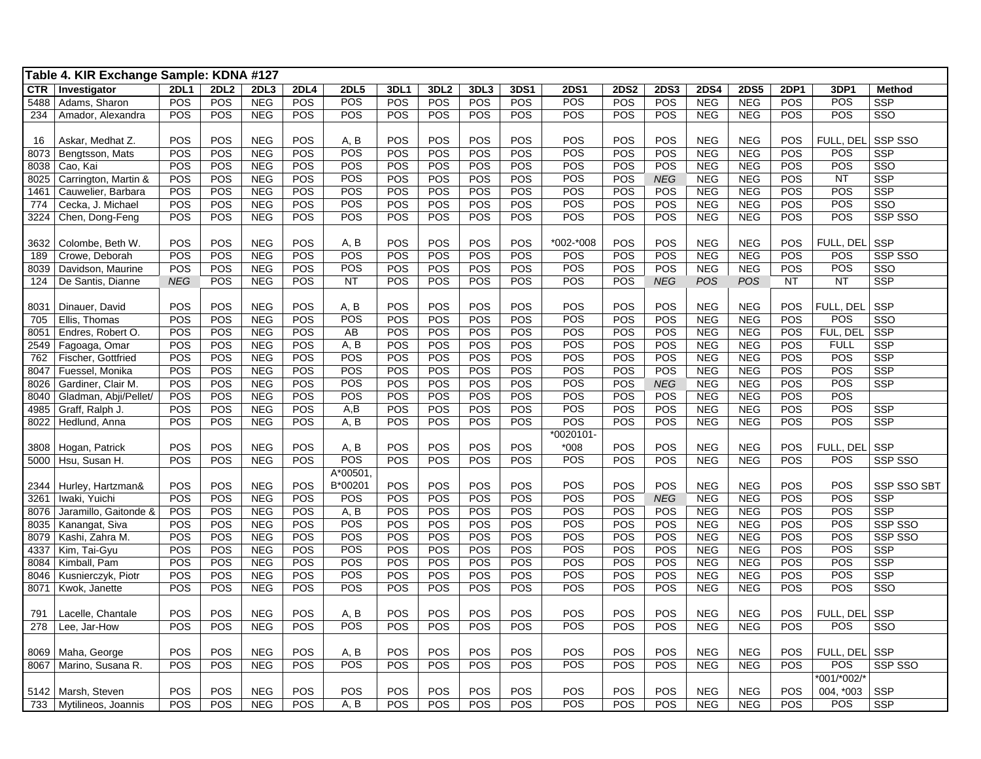|             | Table 4. KIR Exchange Sample: KDNA #127 |             |            |                          |             |                    |            |            |            |            |             |             |             |                          |                          |             |             |                    |
|-------------|-----------------------------------------|-------------|------------|--------------------------|-------------|--------------------|------------|------------|------------|------------|-------------|-------------|-------------|--------------------------|--------------------------|-------------|-------------|--------------------|
| CTR         | Investigator                            | <b>2DL1</b> | 2DL2       | 2DL3                     | <b>2DL4</b> | <b>2DL5</b>        | 3DL1       | 3DL2       | 3DL3       | 3DS1       | <b>2DS1</b> | <b>2DS2</b> | <b>2DS3</b> | <b>2DS4</b>              | <b>2DS5</b>              | <b>2DP1</b> | 3DP1        | <b>Method</b>      |
| 5488        | Adams, Sharon                           | POS         | POS        | <b>NEG</b>               | POS         | POS                | POS        | <b>POS</b> | POS        | POS        | POS         | POS         | POS         | <b>NEG</b>               | <b>NEG</b>               | POS         | POS         | SSP                |
| 234         | Amador, Alexandra                       | POS         | POS        | <b>NEG</b>               | POS         | POS                | POS        | POS        | <b>POS</b> | POS        | POS         | POS         | POS         | <b>NEG</b>               | <b>NEG</b>               | POS         | POS         | SSO                |
|             |                                         |             |            |                          |             |                    |            |            |            |            |             |             |             |                          |                          |             |             |                    |
| 16          | Askar, Medhat Z.                        | POS         | POS        | <b>NEG</b>               | POS         | A, B               | POS        | POS        | POS        | <b>POS</b> | POS         | POS         | POS         | <b>NEG</b>               | <b>NEG</b>               | POS         | FULL. DEL   | SSP SSO            |
| 8073        | Bengtsson, Mats                         | POS         | POS        | <b>NEG</b>               | POS         | POS                | POS        | POS        | POS        | POS        | POS         | POS         | POS         | <b>NEG</b>               | <b>NEG</b>               | POS         | POS         | <b>SSP</b>         |
| 8038        | Cao, Kai                                | POS         | POS        | <b>NEG</b>               | POS         | POS                | POS        | POS        | POS        | POS        | POS         | POS         | <b>POS</b>  | <b>NEG</b>               | <b>NEG</b>               | POS         | POS         | SSO                |
| 8025        | Carrington, Martin &                    | POS         | POS        | <b>NEG</b>               | POS         | POS                | POS        | POS        | POS        | POS        | POS         | POS         | <b>NEG</b>  | <b>NEG</b>               | <b>NEG</b>               | POS         | <b>NT</b>   | <b>SSP</b>         |
| 1461        | Cauwelier, Barbara                      | POS         | POS        | <b>NEG</b>               | POS         | POS                | POS        | POS        | POS        | POS        | POS         | POS         | POS         | <b>NEG</b>               | <b>NEG</b>               | POS         | POS         | <b>SSP</b>         |
| 774         | Cecka, J. Michael                       | POS         | POS        | <b>NEG</b>               | POS         | POS                | POS        | POS        | POS        | POS        | POS         | POS         | POS         | <b>NEG</b>               | <b>NEG</b>               | POS         | POS         | SSO                |
| 3224        | Chen, Dong-Feng                         | POS         | POS        | <b>NEG</b>               | POS         | POS                | POS        | POS        | POS        | POS        | POS         | POS         | POS         | <b>NEG</b>               | <b>NEG</b>               | POS         | POS         | SSP SSO            |
|             |                                         |             |            |                          |             |                    |            |            |            |            |             |             |             |                          |                          |             |             |                    |
| 3632        | Colombe, Beth W.                        | POS         | POS        | <b>NEG</b>               | POS         | A, B               | POS        | POS        | POS        | POS        | *002-*008   | POS         | POS         | <b>NEG</b>               | <b>NEG</b>               | <b>POS</b>  | FULL, DEL   | <b>SSP</b>         |
| 189         | Crowe, Deborah                          | POS         | POS        | <b>NEG</b>               | POS         | POS                | POS        | POS        | POS        | <b>POS</b> | POS         | POS         | POS         | <b>NEG</b>               | <b>NEG</b>               | POS         | POS         | SSP SSO            |
| 8039        | Davidson, Maurine                       | POS         | POS        | <b>NEG</b>               | POS         | POS                | POS        | POS        | POS        | <b>POS</b> | POS         | POS         | POS         | <b>NEG</b>               | <b>NEG</b>               | POS         | POS         | SSO                |
| 124         | De Santis, Dianne                       | <b>NEG</b>  | POS        | <b>NEG</b>               | POS         | <b>NT</b>          | POS        | POS        | POS        | POS        | POS         | POS         | <b>NEG</b>  | <b>POS</b>               | <b>POS</b>               | <b>NT</b>   | <b>NT</b>   | SSP                |
|             |                                         |             |            |                          |             |                    |            | POS        |            | POS        | POS         | POS         | POS         |                          |                          | POS         | FULL. DEL   | SSP                |
| 8031<br>705 | Dinauer, David                          | POS<br>POS  | POS<br>POS | <b>NEG</b><br><b>NEG</b> | POS<br>POS  | A, B<br><b>POS</b> | POS<br>POS | POS        | POS<br>POS | <b>POS</b> | <b>POS</b>  | POS         | POS         | <b>NEG</b><br><b>NEG</b> | <b>NEG</b><br><b>NEG</b> | POS         | <b>POS</b>  | SSO                |
| 8051        | Ellis, Thomas<br>Endres, Robert O.      | POS         | POS        | <b>NEG</b>               | POS         | AB                 | POS        | POS        | POS        | <b>POS</b> | POS         | POS         | POS         | <b>NEG</b>               | <b>NEG</b>               | POS         | FUL, DEL    | SSP                |
| 2549        | Fagoaga, Omar                           | POS         | POS        | <b>NEG</b>               | POS         | A, B               | POS        | POS        | POS        | <b>POS</b> | POS         | POS         | POS         | <b>NEG</b>               | <b>NEG</b>               | POS         | <b>FULL</b> | <b>SSP</b>         |
| 762         | Fischer, Gottfried                      | POS         | POS        | <b>NEG</b>               | POS         | POS                | POS        | POS        | POS        | POS        | POS         | POS         | POS         | <b>NEG</b>               | <b>NEG</b>               | POS         | POS         | <b>SSP</b>         |
| 8047        | Fuessel, Monika                         | POS         | POS        | <b>NEG</b>               | POS         | <b>POS</b>         | POS        | POS        | POS        | POS        | <b>POS</b>  | POS         | POS         | <b>NEG</b>               | <b>NEG</b>               | POS         | POS         | <b>SSP</b>         |
| 8026        | Gardiner, Clair M.                      | POS         | POS        | <b>NEG</b>               | POS         | POS                | POS        | POS        | POS        | POS        | POS         | POS         | <b>NEG</b>  | <b>NEG</b>               | <b>NEG</b>               | POS         | POS         | <b>SSP</b>         |
| 8040        | Gladman, Abji/Pellet/                   | POS         | POS        | <b>NEG</b>               | POS         | POS                | POS        | POS        | POS        | POS        | POS         | POS         | POS         | <b>NEG</b>               | <b>NEG</b>               | POS         | POS         |                    |
| 4985        | Graff, Ralph J.                         | POS         | POS        | <b>NEG</b>               | POS         | A,B                | POS        | POS        | POS        | POS        | POS         | POS         | POS         | <b>NEG</b>               | <b>NEG</b>               | POS         | POS         | <b>SSP</b>         |
| 8022        | Hedlund, Anna                           | POS         | POS        | <b>NEG</b>               | POS         | A, B               | POS        | POS        | POS        | POS        | POS         | POS         | POS         | <b>NEG</b>               | NEG                      | POS         | POS         | <b>SSP</b>         |
|             |                                         |             |            |                          |             |                    |            |            |            |            | *0020101-   |             |             |                          |                          |             |             |                    |
| 3808        | Hogan, Patrick                          | POS         | POS        | <b>NEG</b>               | POS         | A, B               | POS        | POS        | POS        | POS        | $*008$      | POS         | POS         | <b>NEG</b>               | <b>NEG</b>               | POS         | FULL, DEL   | SSP                |
| 5000        | Hsu, Susan H.                           | POS         | POS        | <b>NEG</b>               | POS         | POS                | POS        | POS        | POS        | POS        | POS         | POS         | POS         | <b>NEG</b>               | <b>NEG</b>               | POS         | POS         | SSP SSO            |
|             |                                         |             |            |                          |             | A*00501,           |            |            |            |            |             |             |             |                          |                          |             |             |                    |
| 2344        | Hurley, Hartzman&                       | POS         | POS        | <b>NEG</b>               | POS         | B*00201            | POS        | POS        | POS        | POS        | POS         | POS         | POS         | <b>NEG</b>               | <b>NEG</b>               | POS         | POS         | <b>SSP SSO SBT</b> |
| 3261        | Iwaki, Yuichi                           | POS         | POS        | <b>NEG</b>               | POS         | POS                | POS        | POS        | POS        | POS        | POS         | POS         | <b>NEG</b>  | <b>NEG</b>               | <b>NEG</b>               | POS         | POS         | <b>SSP</b>         |
| 8076        | Jaramillo, Gaitonde &                   | POS         | POS        | <b>NEG</b>               | POS         | A, B               | POS        | POS        | POS        | POS        | POS         | POS         | POS         | <b>NEG</b>               | <b>NEG</b>               | POS         | POS         | <b>SSP</b>         |
| 8035        | Kanangat, Siva                          | POS         | POS        | <b>NEG</b>               | POS         | POS                | POS        | POS        | POS        | POS        | POS         | POS         | POS         | <b>NEG</b>               | <b>NEG</b>               | POS         | POS         | SSP SSO            |
| 8079        | Kashi, Zahra M.                         | POS         | POS        | <b>NEG</b>               | POS         | POS                | POS        | POS        | POS        | <b>POS</b> | POS         | POS         | POS         | <b>NEG</b>               | <b>NEG</b>               | POS         | POS         | SSP SSO            |
| 4337        | Kim, Tai-Gyu                            | POS         | POS        | <b>NEG</b>               | POS         | POS                | POS        | POS        | POS        | POS        | POS         | POS         | POS         | <b>NEG</b>               | <b>NEG</b>               | POS         | POS         | <b>SSP</b>         |
| 8084        | Kimball, Pam                            | POS         | POS        | <b>NEG</b>               | POS         | POS                | POS        | POS        | POS        | POS        | POS         | POS         | POS         | <b>NEG</b>               | <b>NEG</b>               | POS         | POS         | <b>SSP</b>         |
| 8046        | Kusnierczyk, Piotr                      | POS         | POS        | <b>NEG</b>               | POS         | POS                | POS        | POS        | POS        | POS        | POS         | POS         | POS         | <b>NEG</b>               | <b>NEG</b>               | POS         | POS         | <b>SSP</b>         |
| 8071        | Kwok, Janette                           | POS         | POS        | <b>NEG</b>               | POS         | POS                | POS        | POS        | POS        | <b>POS</b> | POS         | POS         | POS         | <b>NEG</b>               | <b>NEG</b>               | POS         | POS         | SSO                |
|             |                                         |             |            |                          |             |                    |            |            |            |            |             |             |             |                          |                          |             |             |                    |
| 791         | Lacelle, Chantale                       | POS         | POS        | <b>NEG</b>               | POS         | A, B               | POS        | POS        | POS        | <b>POS</b> | POS         | POS         | POS         | <b>NEG</b>               | <b>NEG</b>               | POS         | FULL, DEL   | <b>SSP</b>         |
| 278         | Lee. Jar-How                            | POS         | POS        | <b>NEG</b>               | POS         | POS                | POS        | POS        | POS        | POS        | POS         | POS         | POS         | <b>NEG</b>               | <b>NEG</b>               | POS         | POS         | SSO                |
|             |                                         |             |            |                          |             |                    |            |            |            |            |             |             |             |                          |                          |             |             |                    |
| 8069        | Maha, George                            | POS         | POS        | <b>NEG</b>               | POS         | A, B               | POS        | POS        | POS        | POS        | POS         | POS         | <b>POS</b>  | <b>NEG</b>               | <b>NEG</b>               | POS         | FULL, DEL   | <b>SSP</b>         |
| 8067        | Marino, Susana R.                       | POS         | POS        | <b>NEG</b>               | POS         | <b>POS</b>         | POS        | POS        | POS        | POS        | <b>POS</b>  | POS         | POS         | <b>NEG</b>               | <b>NEG</b>               | POS         | <b>POS</b>  | SSP SSO            |
|             |                                         |             |            |                          |             |                    |            |            |            |            |             |             |             |                          |                          |             | *001/*002/* |                    |
| 5142        | Marsh, Steven                           | POS         | POS        | <b>NEG</b>               | POS         | POS                | POS        | POS        | POS        | POS        | POS         | POS         | POS         | <b>NEG</b>               | <b>NEG</b>               | POS         | 004, *003   | <b>SSP</b>         |
| 733         | Mytilineos, Joannis                     | POS         | POS        | <b>NEG</b>               | POS         | A, B               | POS        | POS        | POS        | POS        | POS         | POS         | POS         | <b>NEG</b>               | <b>NEG</b>               | POS         | POS         | SSP                |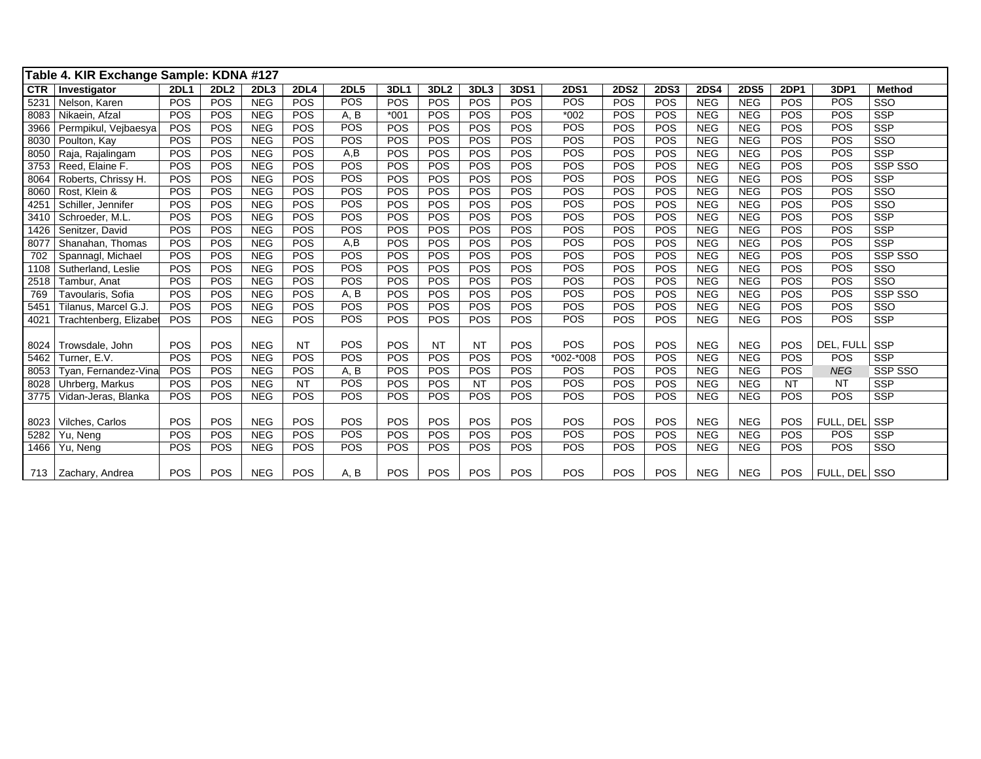|            | Table 4. KIR Exchange Sample: KDNA #127 |             |             |            |             |             |        |                  |            |      |             |             |             |             |             |             |               |                         |
|------------|-----------------------------------------|-------------|-------------|------------|-------------|-------------|--------|------------------|------------|------|-------------|-------------|-------------|-------------|-------------|-------------|---------------|-------------------------|
| <b>CTR</b> | Investigator                            | <b>2DL1</b> | <b>2DL2</b> | 2DL3       | <b>2DL4</b> | <b>2DL5</b> | 3DL1   | 3DL <sub>2</sub> | 3DL3       | 3DS1 | <b>2DS1</b> | <b>2DS2</b> | <b>2DS3</b> | <b>2DS4</b> | <b>2DS5</b> | <b>2DP1</b> | 3DP1          | <b>Method</b>           |
| 5231       | Nelson, Karen                           | POS         | POS         | <b>NEG</b> | POS         | POS         | POS    | <b>POS</b>       | POS        | POS  | POS         | POS         | POS         | <b>NEG</b>  | <b>NEG</b>  | <b>POS</b>  | POS           | SSO                     |
| 8083       | Nikaein, Afzal                          | POS         | POS         | <b>NEG</b> | POS         | A, B        | $*001$ | POS              | POS        | POS  | $*002$      | POS         | POS         | <b>NEG</b>  | <b>NEG</b>  | POS         | POS           | <b>SSP</b>              |
| 3966       | Permpikul, Vejbaesya                    | POS         | POS         | <b>NEG</b> | POS         | POS         | POS    | POS              | POS        | POS  | POS         | POS         | POS         | <b>NEG</b>  | <b>NEG</b>  | POS         | POS           | <b>SSP</b>              |
| 8030       | Poulton, Kay                            | POS         | POS         | <b>NEG</b> | POS         | POS         | POS    | POS              | POS        | POS  | POS         | POS         | POS         | <b>NEG</b>  | <b>NEG</b>  | POS         | POS           | SSO                     |
| 8050       | Raja, Rajalingam                        | POS         | POS         | <b>NEG</b> | POS         | A,B         | POS    | POS              | POS        | POS  | POS         | POS         | POS         | <b>NEG</b>  | <b>NEG</b>  | POS         | POS           | <b>SSP</b>              |
| 3753       | Reed, Elaine F.                         | POS         | POS         | <b>NEG</b> | POS         | POS         | POS    | POS              | POS        | POS  | POS         | POS         | POS         | <b>NEG</b>  | <b>NEG</b>  | POS         | POS           | SSP SSO                 |
| 8064       | Roberts, Chrissy H.                     | POS         | POS         | <b>NEG</b> | POS         | POS         | POS    | POS              | POS        | POS  | POS         | POS         | POS         | <b>NEG</b>  | <b>NEG</b>  | POS         | POS           | <b>SSP</b>              |
| 8060       | Rost. Klein &                           | POS         | POS         | <b>NEG</b> | POS         | POS         | POS    | POS              | POS        | POS  | POS         | POS         | POS         | <b>NEG</b>  | <b>NEG</b>  | POS         | POS           | SSO                     |
| 4251       | Schiller, Jennifer                      | POS         | POS         | NEG        | POS         | POS         | POS    | POS              | POS        | POS  | POS         | POS         | <b>POS</b>  | <b>NEG</b>  | <b>NEG</b>  | POS         | POS           | $\overline{\text{SSO}}$ |
| 3410       | Schroeder, M.L.                         | POS         | POS         | <b>NEG</b> | POS         | POS         | POS    | POS              | POS        | POS  | POS         | POS         | POS         | <b>NEG</b>  | <b>NEG</b>  | POS         | POS           | <b>SSP</b>              |
| 1426       | Senitzer, David                         | POS         | POS         | <b>NEG</b> | POS         | POS         | POS    | POS              | POS        | POS  | POS         | POS         | POS         | <b>NEG</b>  | <b>NEG</b>  | POS         | POS           | <b>SSP</b>              |
| 8077       | Shanahan, Thomas                        | POS         | POS         | <b>NEG</b> | POS         | A,B         | POS    | POS              | POS        | POS  | POS         | POS         | POS         | <b>NEG</b>  | <b>NEG</b>  | POS         | POS           | <b>SSP</b>              |
| 702        | Spannagl, Michael                       | POS         | POS         | <b>NEG</b> | POS         | POS         | POS    | POS              | POS        | POS  | POS         | POS         | POS         | <b>NEG</b>  | <b>NEG</b>  | POS         | POS           | SSP SSO                 |
| 1108       | Sutherland, Leslie                      | POS         | POS         | <b>NEG</b> | POS         | POS         | POS    | POS              | POS        | POS  | POS         | POS         | POS         | <b>NEG</b>  | <b>NEG</b>  | POS         | POS           | SSO                     |
| 2518       | Tambur, Anat                            | POS         | POS         | <b>NEG</b> | POS         | POS         | POS    | POS              | POS        | POS  | POS         | POS         | POS         | <b>NEG</b>  | <b>NEG</b>  | POS         | POS           | $\overline{\text{SSO}}$ |
| 769        | Tavoularis, Sofia                       | POS         | POS         | <b>NEG</b> | POS         | A, B        | POS    | POS              | POS        | POS  | POS         | POS         | POS         | <b>NEG</b>  | <b>NEG</b>  | POS         | POS           | SSP SSO                 |
| 545'       | Tilanus, Marcel G.J.                    | POS         | POS         | <b>NEG</b> | POS         | POS         | POS    | POS              | POS        | POS  | POS         | POS         | POS         | <b>NEG</b>  | <b>NEG</b>  | POS         | POS           | SSO                     |
| 4021       | Trachtenberg, Elizabet                  | POS         | POS         | <b>NEG</b> | POS         | POS         | POS    | POS              | POS        | POS  | POS         | POS         | POS         | <b>NEG</b>  | <b>NEG</b>  | POS         | POS           | <b>SSP</b>              |
|            |                                         |             |             |            |             |             |        |                  |            |      |             |             |             |             |             |             |               |                         |
| 8024       | Trowsdale, John                         | POS         | POS         | <b>NEG</b> | <b>NT</b>   | POS         | POS    | <b>NT</b>        | <b>NT</b>  | POS  | POS         | POS         | POS         | <b>NEG</b>  | <b>NEG</b>  | POS         | DEL. FULL     | <b>SSP</b>              |
| 5462       | Turner, E.V.                            | POS         | POS         | <b>NEG</b> | POS         | POS         | POS    | POS              | POS        | POS  | *002-*008   | POS         | POS         | <b>NEG</b>  | <b>NEG</b>  | POS         | POS           | <b>SSP</b>              |
| 8053       | Tyan, Fernandez-Vina                    | POS         | POS         | <b>NEG</b> | POS         | A, B        | POS    | POS              | POS        | POS  | <b>POS</b>  | POS         | POS         | <b>NEG</b>  | <b>NEG</b>  | POS         | <b>NEG</b>    | SSP SSO                 |
| 8028       | Uhrberg, Markus                         | POS         | POS         | <b>NEG</b> | <b>NT</b>   | POS         | POS    | POS              | <b>NT</b>  | POS  | POS         | POS         | POS         | <b>NEG</b>  | <b>NEG</b>  | <b>NT</b>   | <b>NT</b>     | SSP                     |
| 3775       | Vidan-Jeras, Blanka                     | POS         | POS         | <b>NEG</b> | POS         | <b>POS</b>  | POS    | POS              | POS        | POS  | <b>POS</b>  | POS         | POS         | <b>NEG</b>  | <b>NEG</b>  | <b>POS</b>  | POS           | <b>SSP</b>              |
|            |                                         |             |             |            |             |             |        |                  |            |      |             |             |             |             |             |             |               |                         |
| 8023       | Vilches, Carlos                         | POS         | POS         | <b>NEG</b> | POS         | POS         | POS    | POS              | <b>POS</b> | POS  | POS         | POS         | POS         | <b>NEG</b>  | <b>NEG</b>  | POS         | FULL, DEL     | <b>SSP</b>              |
| 5282       | Yu, Neng                                | POS         | POS         | <b>NEG</b> | POS         | POS         | POS    | POS              | POS        | POS  | POS         | POS         | POS         | <b>NEG</b>  | <b>NEG</b>  | POS         | POS           | <b>SSP</b>              |
| 1466       | Yu, Neng                                | POS         | POS         | <b>NEG</b> | POS         | POS         | POS    | POS              | POS        | POS  | POS         | POS         | POS         | <b>NEG</b>  | <b>NEG</b>  | <b>POS</b>  | POS           | SSO                     |
|            |                                         |             |             |            |             |             |        |                  |            |      |             |             |             |             |             |             |               |                         |
|            | 713 Zachary, Andrea                     | POS         | POS         | <b>NEG</b> | POS         | A, B        | POS    | POS              | <b>POS</b> | POS  | POS         | POS         | <b>POS</b>  | <b>NEG</b>  | <b>NEG</b>  | POS.        | FULL, DEL SSO |                         |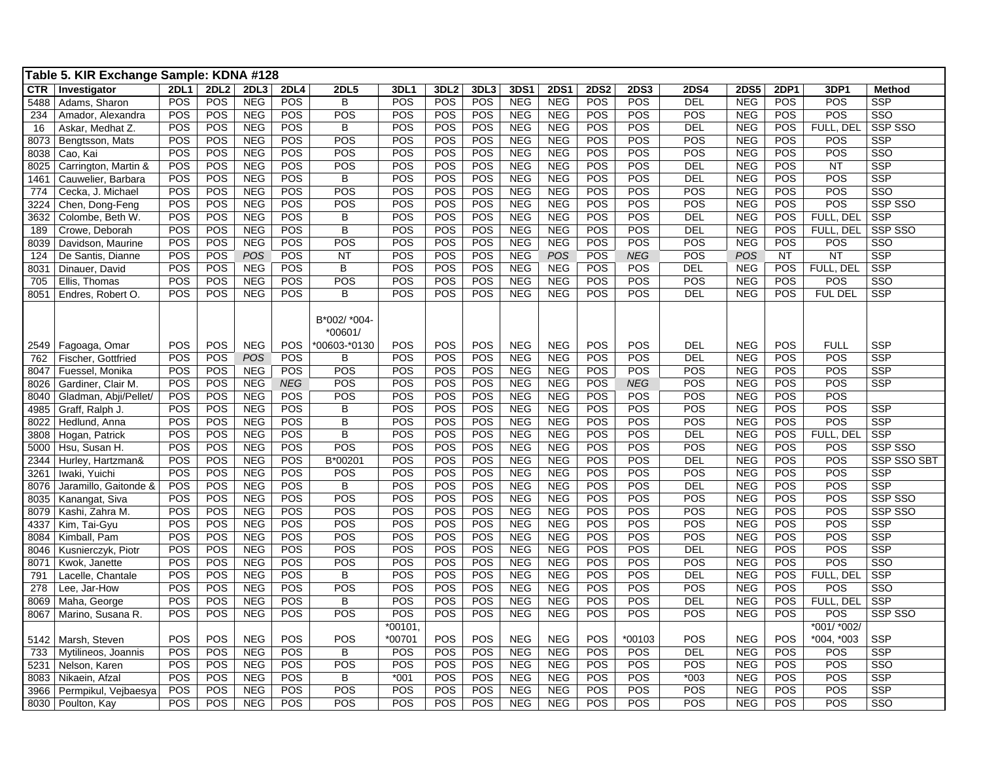|            | Table 5. KIR Exchange Sample: KDNA #128 |             |            |            |             |              |                     |                  |            |                  |             |             |                  |                  |             |             |                           |               |
|------------|-----------------------------------------|-------------|------------|------------|-------------|--------------|---------------------|------------------|------------|------------------|-------------|-------------|------------------|------------------|-------------|-------------|---------------------------|---------------|
| <b>CTR</b> | Investigator                            | <b>2DL1</b> | 2DL2       | 2DL3       | <b>2DL4</b> | <b>2DL5</b>  | 3DL1                | 3DL <sub>2</sub> | 3DL3       | 3DS <sup>1</sup> | <b>2DS1</b> | <b>2DS2</b> | <b>2DS3</b>      | <b>2DS4</b>      | <b>2DS5</b> | <b>2DP1</b> | 3DP1                      | <b>Method</b> |
| 5488       | Adams, Sharon                           | <b>POS</b>  | POS        | <b>NEG</b> | <b>POS</b>  | B            | POS                 | <b>POS</b>       | <b>POS</b> | <b>NEG</b>       | <b>NEG</b>  | <b>POS</b>  | <b>POS</b>       | $\overline{DEL}$ | <b>NEG</b>  | POS         | POS                       | <b>SSP</b>    |
| 234        | Amador, Alexandra                       | POS         | POS        | <b>NEG</b> | POS         | POS          | POS                 | POS              | POS        | <b>NEG</b>       | <b>NEG</b>  | POS         | POS              | POS              | NEG         | POS         | POS                       | SSO           |
| 16         | Askar, Medhat Z.                        | POS         | POS        | <b>NEG</b> | POS         | B            | POS                 | <b>POS</b>       | POS        | <b>NEG</b>       | <b>NEG</b>  | POS         | POS              | <b>DEL</b>       | <b>NEG</b>  | POS         | FULL, DEL                 | SSP SSO       |
| 8073       | Bengtsson, Mats                         | POS         | POS        | <b>NEG</b> | POS         | POS          | POS                 | POS              | POS        | <b>NEG</b>       | <b>NEG</b>  | POS         | POS              | POS              | <b>NEG</b>  | POS         | POS                       | SSP           |
| 8038       | Cao, Kai                                | POS         | POS        | <b>NEG</b> | POS         | POS          | POS                 | POS              | POS        | <b>NEG</b>       | <b>NEG</b>  | POS         | POS              | POS              | <b>NEG</b>  | POS         | POS                       | SSO           |
| 8025       | Carrington, Martin &                    | POS         | POS        | <b>NEG</b> | POS         | POS          | POS                 | POS              | POS        | <b>NEG</b>       | <b>NEG</b>  | POS         | POS              | DEL              | <b>NEG</b>  | POS         | NT                        | <b>SSP</b>    |
| 1461       | Cauwelier, Barbara                      | POS         | POS        | <b>NEG</b> | <b>POS</b>  | B            | POS                 | POS              | <b>POS</b> | <b>NEG</b>       | <b>NEG</b>  | POS         | POS              | DEL              | <b>NEG</b>  | POS         | POS                       | <b>SSP</b>    |
| 774        | Cecka, J. Michael                       | POS         | POS        | <b>NEG</b> | POS         | POS          | POS                 | POS              | POS        | <b>NEG</b>       | <b>NEG</b>  | POS         | POS              | POS              | <b>NEG</b>  | POS         | POS                       | SSO           |
| 3224       | Chen, Dong-Feng                         | POS         | POS        | <b>NEG</b> | POS         | POS          | POS                 | POS              | POS        | <b>NEG</b>       | <b>NEG</b>  | POS         | POS              | POS              | <b>NEG</b>  | POS         | POS                       | SSP SSO       |
| 3632       | Colombe, Beth W.                        | <b>POS</b>  | POS        | <b>NEG</b> | POS         | B            | POS                 | POS              | POS        | <b>NEG</b>       | <b>NEG</b>  | POS         | POS              | DEL              | <b>NEG</b>  | POS         | FULL, DEL                 | <b>SSP</b>    |
| 189        | Crowe, Deborah                          | POS         | POS        | <b>NEG</b> | POS         | B            | POS                 | POS              | POS        | <b>NEG</b>       | <b>NEG</b>  | POS         | POS              | DEL              | <b>NEG</b>  | POS         | FULL, DEL                 | SSP SSO       |
| 8039       | Davidson, Maurine                       | POS         | POS        | <b>NEG</b> | POS         | POS          | POS                 | POS              | POS        | <b>NEG</b>       | <b>NEG</b>  | POS         | POS              | POS              | <b>NEG</b>  | POS         | POS                       | SSO           |
| 124        | De Santis, Dianne                       | POS         | POS        | <b>POS</b> | POS         | <b>NT</b>    | POS                 | POS              | POS        | <b>NEG</b>       | <b>POS</b>  | POS         | <b>NEG</b>       | POS              | <b>POS</b>  | <b>NT</b>   | <b>NT</b>                 | <b>SSP</b>    |
| 8031       | Dinauer, David                          | <b>POS</b>  | POS        | <b>NEG</b> | POS         | В            | POS                 | POS              | <b>POS</b> | <b>NEG</b>       | <b>NEG</b>  | POS         | <b>POS</b>       | <b>DEL</b>       | <b>NEG</b>  | POS         | FULL, DEL                 | <b>SSP</b>    |
| 705        | Ellis, Thomas                           | POS         | POS        | <b>NEG</b> | POS         | POS          | POS                 | POS              | POS        | <b>NEG</b>       | <b>NEG</b>  | POS         | POS              | POS              | <b>NEG</b>  | POS         | POS                       | SSO           |
| 8051       | Endres, Robert O.                       | POS         | POS        | <b>NEG</b> | <b>POS</b>  | B            | POS                 | POS              | <b>POS</b> | <b>NEG</b>       | <b>NEG</b>  | POS         | POS              | DEL              | <b>NEG</b>  | POS         | FUL DEL                   | SSP           |
|            |                                         |             |            |            |             | B*002/ *004- |                     |                  |            |                  |             |             |                  |                  |             |             |                           |               |
|            |                                         |             |            |            |             | *00601/      |                     |                  |            |                  |             |             |                  |                  |             |             |                           |               |
| 2549       | Fagoaga, Omar                           | <b>POS</b>  | <b>POS</b> | <b>NEG</b> | <b>POS</b>  | *00603-*0130 | POS                 | <b>POS</b>       | <b>POS</b> | <b>NEG</b>       | <b>NEG</b>  | POS         | <b>POS</b>       | DEL              | <b>NEG</b>  | POS         | <b>FULL</b>               | <b>SSP</b>    |
| 762        | Fischer, Gottfried                      | POS         | POS        | POS        | POS         | В            | POS                 | PO <sub>S</sub>  | POS        | <b>NEG</b>       | <b>NEG</b>  | POS         | POS              | DEL              | <b>NEG</b>  | POS         | POS                       | <b>SSP</b>    |
| 8047       | Fuessel, Monika                         | POS         | POS        | <b>NEG</b> | POS         | POS          | POS                 | POS              | POS        | <b>NEG</b>       | <b>NEG</b>  | POS         | POS              | POS              | <b>NEG</b>  | POS         | POS                       | <b>SSP</b>    |
| 8026       | Gardiner, Clair M.                      | POS         | POS        | <b>NEG</b> | <b>NEG</b>  | POS          | POS                 | POS              | POS        | <b>NEG</b>       | <b>NEG</b>  | POS         | <b>NEG</b>       | POS              | NEG         | POS         | POS                       | <b>SSP</b>    |
| 8040       | Gladman, Abji/Pellet/                   | POS         | POS        | <b>NEG</b> | POS         | POS          | POS                 | POS              | POS        | <b>NEG</b>       | <b>NEG</b>  | POS         | POS              | POS              | <b>NEG</b>  | POS         | POS                       |               |
| 4985       | Graff, Ralph J.                         | <b>POS</b>  | POS        | <b>NEG</b> | POS         | B            | POS                 | POS              | <b>POS</b> | <b>NEG</b>       | <b>NEG</b>  | POS         | $\overline{POS}$ | POS              | <b>NEG</b>  | POS         | POS                       | <b>SSP</b>    |
| 8022       | Hedlund, Anna                           | POS         | POS        | <b>NEG</b> | POS         | B            | POS                 | POS              | POS        | <b>NEG</b>       | <b>NEG</b>  | POS         | POS              | POS              | <b>NEG</b>  | POS         | POS                       | SSP           |
| 3808       | Hogan, Patrick                          | POS         | POS        | <b>NEG</b> | POS         | B            | POS                 | POS              | POS        | <b>NEG</b>       | <b>NEG</b>  | POS         | POS              | DEL              | <b>NEG</b>  | POS         | FULL, DEL                 | <b>SSP</b>    |
| 5000       | Hsu, Susan H.                           | POS         | POS        | <b>NEG</b> | POS         | POS          | POS                 | <b>POS</b>       | POS        | <b>NEG</b>       | <b>NEG</b>  | POS         | POS              | <b>POS</b>       | <b>NEG</b>  | POS         | POS                       | SSP SSO       |
| 2344       | Hurley, Hartzman&                       | POS         | POS        | <b>NEG</b> | POS         | B*00201      | POS                 | POS              | POS        | <b>NEG</b>       | <b>NEG</b>  | POS         | POS              | <b>DEL</b>       | <b>NEG</b>  | POS         | POS                       | SSP SSO SBT   |
| 3261       | Iwaki, Yuichi                           | POS         | POS        | <b>NEG</b> | POS         | POS          | POS                 | POS              | POS        | <b>NEG</b>       | <b>NEG</b>  | POS         | POS              | <b>POS</b>       | <b>NEG</b>  | POS         | POS                       | <b>SSP</b>    |
| 8076       | Jaramillo, Gaitonde &                   | POS         | POS        | <b>NEG</b> | POS         | B            | POS                 | POS              | <b>POS</b> | <b>NEG</b>       | <b>NEG</b>  | POS         | $\overline{POS}$ | DEL              | <b>NEG</b>  | POS         | $\overline{POS}$          | <b>SSP</b>    |
| 8035       | Kanangat, Siva                          | POS         | POS        | <b>NEG</b> | POS         | POS          | POS                 | <b>POS</b>       | POS        | <b>NEG</b>       | <b>NEG</b>  | POS         | POS              | POS              | <b>NEG</b>  | POS         | POS                       | SSP SSO       |
| 8079       | Kashi, Zahra M.                         | POS         | POS        | <b>NEG</b> | POS         | POS          | POS                 | POS              | POS        | <b>NEG</b>       | <b>NEG</b>  | POS         | POS              | POS              | <b>NEG</b>  | POS         | POS                       | SSP SSO       |
| 4337       | Kim, Tai-Gyu                            | POS         | <b>POS</b> | <b>NEG</b> | POS         | POS          | POS                 | <b>POS</b>       | POS        | <b>NEG</b>       | <b>NEG</b>  | POS         | POS              | POS              | <b>NEG</b>  | POS         | POS                       | <b>SSP</b>    |
| 8084       | Kimball, Pam                            | POS         | POS        | <b>NEG</b> | POS         | POS          | POS                 | <b>POS</b>       | POS        | <b>NEG</b>       | <b>NEG</b>  | POS         | POS              | POS              | <b>NEG</b>  | POS         | POS                       | <b>SSP</b>    |
| 8046       | Kusnierczyk, Piotr                      | POS         | POS        | <b>NEG</b> | POS         | POS          | POS                 | <b>POS</b>       | POS        | <b>NEG</b>       | <b>NEG</b>  | POS         | POS              | DEL              | <b>NEG</b>  | POS         | POS                       | <b>SSP</b>    |
| 8071       | Kwok, Janette                           | POS         | POS        | <b>NEG</b> | POS         | POS          | POS                 | POS              | POS        | <b>NEG</b>       | <b>NEG</b>  | POS         | POS              | POS              | <b>NEG</b>  | POS         | POS                       | SSO           |
| 791        | Lacelle, Chantale                       | <b>POS</b>  | POS        | <b>NEG</b> | POS         | B            | POS                 | <b>POS</b>       | POS        | <b>NEG</b>       | <b>NEG</b>  | POS         | POS              | DEL              | <b>NEG</b>  | POS         | FULL, DEL                 | <b>SSP</b>    |
| 278        | Lee, Jar-How                            | POS         | POS        | <b>NEG</b> | POS         | POS          | POS                 | <b>POS</b>       | POS        | <b>NEG</b>       | <b>NEG</b>  | POS         | POS              | POS              | <b>NEG</b>  | POS         | POS                       | SSO           |
| 8069       | Maha, George                            | POS         | POS        | <b>NEG</b> | POS         | B            | POS                 | <b>POS</b>       | POS        | <b>NEG</b>       | <b>NEG</b>  | POS         | POS              | DEL              | <b>NEG</b>  | POS         | FULL, DEL                 | <b>SSP</b>    |
| 8067       | Marino, Susana R.                       | POS         | POS        | <b>NEG</b> | POS         | POS          | POS                 | <b>POS</b>       | POS        | <b>NEG</b>       | <b>NEG</b>  | POS         | POS              | POS              | <b>NEG</b>  | POS         | POS                       | SSP SSO       |
| 5142       | Marsh, Steven                           | POS         | POS        | <b>NEG</b> | POS         | POS          | $*00101.$<br>*00701 | <b>POS</b>       | POS        | <b>NEG</b>       | <b>NEG</b>  | POS         | *00103           | POS              | <b>NEG</b>  | POS         | *001/ *002/<br>*004, *003 | SSP           |
| 733        | Mytilineos, Joannis                     | POS         | POS        | <b>NEG</b> | POS         | B            | POS                 | POS              | POS        | <b>NEG</b>       | <b>NEG</b>  | POS         | <b>POS</b>       | <b>DEL</b>       | <b>NEG</b>  | POS         | <b>POS</b>                | <b>SSP</b>    |
| 5231       | Nelson, Karen                           | POS         | POS        | <b>NEG</b> | POS         | POS          | POS                 | <b>POS</b>       | POS        | <b>NEG</b>       | <b>NEG</b>  | POS         | POS              | POS              | <b>NEG</b>  | POS         | POS                       | SSO           |
| 8083       | Nikaein, Afzal                          | POS         | POS        | <b>NEG</b> | POS         | B            | $*001$              | POS              | POS        | <b>NEG</b>       | <b>NEG</b>  | POS         | POS              | $*003$           | <b>NEG</b>  | POS         | POS                       | SSP           |
|            | Permpikul, Vejbaesya                    | POS         | POS        | <b>NEG</b> | POS         | POS          | POS                 | POS              | POS        | <b>NEG</b>       | <b>NEG</b>  | POS         | POS              | POS              | <b>NEG</b>  | POS         | POS                       | SSP           |
| 3966       |                                         | POS         | POS        | <b>NEG</b> | POS         | POS          | POS                 | POS              | POS        | <b>NEG</b>       | <b>NEG</b>  | POS         | POS              | POS              | <b>NEG</b>  | POS         | POS                       | SSO           |
| 8030       | Poulton, Kay                            |             |            |            |             |              |                     |                  |            |                  |             |             |                  |                  |             |             |                           |               |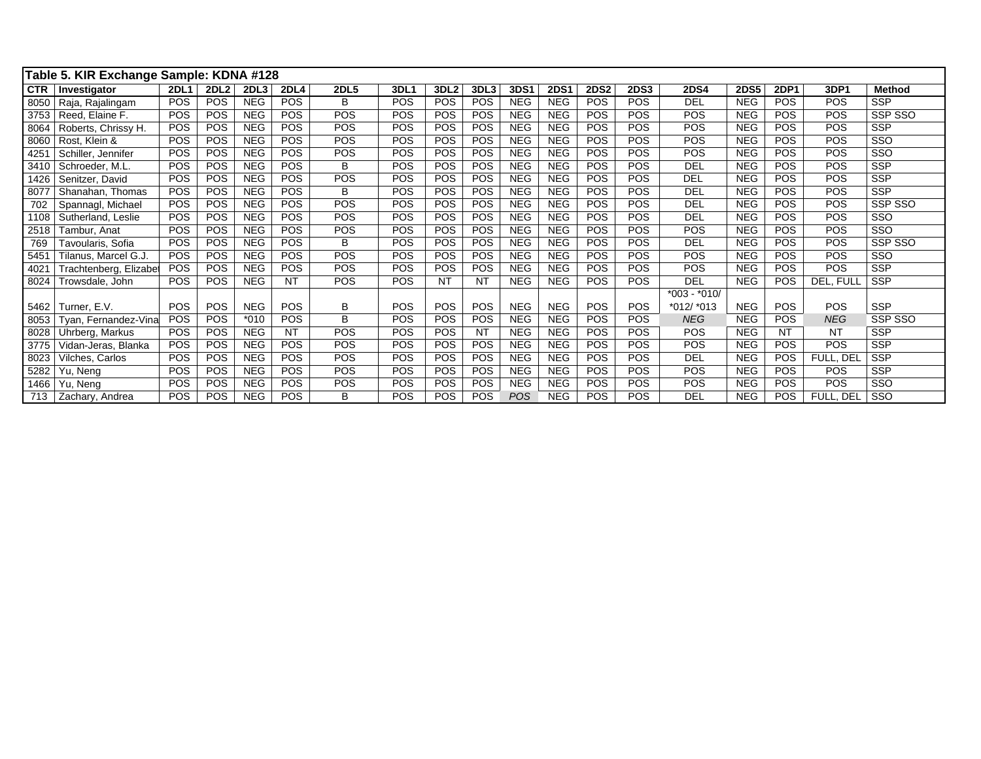|            | Table 5. KIR Exchange Sample: KDNA #128 |             |             |            |             |             |            |                  |                  |            |             |             |             |                |             |             |            |               |
|------------|-----------------------------------------|-------------|-------------|------------|-------------|-------------|------------|------------------|------------------|------------|-------------|-------------|-------------|----------------|-------------|-------------|------------|---------------|
| <b>CTR</b> | Investigator                            | <b>2DL1</b> | <b>2DL2</b> | 2DL3       | <b>2DL4</b> | <b>2DL5</b> | 3DL1       | 3DL <sub>2</sub> | 3DL <sub>3</sub> | 3DS1       | <b>2DS1</b> | <b>2DS2</b> | <b>2DS3</b> | <b>2DS4</b>    | <b>2DS5</b> | <b>2DP1</b> | 3DP1       | <b>Method</b> |
| 8050       | Raja, Rajalingam                        | POS         | <b>POS</b>  | <b>NEG</b> | <b>POS</b>  | В           | POS        | <b>POS</b>       | <b>POS</b>       | <b>NEG</b> | <b>NEG</b>  | <b>POS</b>  | POS         | <b>DEL</b>     | <b>NEG</b>  | <b>POS</b>  | POS        | <b>SSP</b>    |
| 3753       | Reed, Elaine F.                         | POS         | POS         | <b>NEG</b> | <b>POS</b>  | POS         | POS        | POS              | <b>POS</b>       | <b>NEG</b> | <b>NEG</b>  | POS         | <b>POS</b>  | <b>POS</b>     | <b>NEG</b>  | <b>POS</b>  | <b>POS</b> | SSP SSO       |
| 8064       | Roberts, Chrissy H.                     | POS         | <b>POS</b>  | <b>NEG</b> | POS         | POS         | <b>POS</b> | POS              | <b>POS</b>       | <b>NEG</b> | <b>NEG</b>  | <b>POS</b>  | <b>POS</b>  | POS            | <b>NEG</b>  | <b>POS</b>  | POS        | <b>SSP</b>    |
| 8060       | Rost, Klein &                           | <b>POS</b>  | POS         | <b>NEG</b> | POS         | <b>POS</b>  | POS        | POS              | <b>POS</b>       | <b>NEG</b> | <b>NEG</b>  | <b>POS</b>  | <b>POS</b>  | <b>POS</b>     | <b>NEG</b>  | <b>POS</b>  | <b>POS</b> | SSO           |
| 4251       | Schiller, Jennifer                      | POS         | <b>POS</b>  | <b>NEG</b> | POS         | <b>POS</b>  | <b>POS</b> | POS              | <b>POS</b>       | <b>NEG</b> | <b>NEG</b>  | <b>POS</b>  | <b>POS</b>  | <b>POS</b>     | <b>NEG</b>  | <b>POS</b>  | <b>POS</b> | SSO           |
| 3410       | Schroeder, M.L.                         | POS         | POS         | <b>NEG</b> | POS         | В           | POS        | <b>POS</b>       | <b>POS</b>       | <b>NEG</b> | <b>NEG</b>  | POS         | <b>POS</b>  | <b>DEL</b>     | <b>NEG</b>  | <b>POS</b>  | POS        | <b>SSP</b>    |
| 1426       | Senitzer, David                         | POS         | <b>POS</b>  | <b>NEG</b> | POS         | POS         | POS        | POS              | <b>POS</b>       | <b>NEG</b> | <b>NEG</b>  | POS         | <b>POS</b>  | <b>DEL</b>     | <b>NEG</b>  | <b>POS</b>  | POS        | <b>SSP</b>    |
| 8077       | Shanahan, Thomas                        | <b>POS</b>  | <b>POS</b>  | <b>NEG</b> | POS         | B           | POS        | <b>POS</b>       | <b>POS</b>       | <b>NEG</b> | <b>NEG</b>  | POS         | <b>POS</b>  | <b>DEL</b>     | <b>NEG</b>  | <b>POS</b>  | <b>POS</b> | <b>SSP</b>    |
| 702        | Spannagl, Michael                       | POS         | POS         | <b>NEG</b> | POS         | POS         | POS        | <b>POS</b>       | <b>POS</b>       | <b>NEG</b> | <b>NEG</b>  | <b>POS</b>  | <b>POS</b>  | <b>DEL</b>     | <b>NEG</b>  | <b>POS</b>  | POS        | SSP SSO       |
| 1108       | Sutherland, Leslie                      | <b>POS</b>  | <b>POS</b>  | <b>NEG</b> | <b>POS</b>  | <b>POS</b>  | <b>POS</b> | <b>POS</b>       | <b>POS</b>       | <b>NEG</b> | <b>NEG</b>  | <b>POS</b>  | <b>POS</b>  | <b>DEL</b>     | <b>NEG</b>  | <b>POS</b>  | <b>POS</b> | <b>SSO</b>    |
| 2518       | Tambur, Anat                            | POS         | <b>POS</b>  | <b>NEG</b> | POS         | <b>POS</b>  | POS        | POS              | <b>POS</b>       | <b>NEG</b> | <b>NEG</b>  | POS         | <b>POS</b>  | <b>POS</b>     | <b>NEG</b>  | <b>POS</b>  | <b>POS</b> | SSO           |
| 769        | Tavoularis, Sofia                       | POS         | POS         | <b>NEG</b> | POS         | B           | POS        | POS              | POS              | <b>NEG</b> | <b>NEG</b>  | POS         | <b>POS</b>  | <b>DEL</b>     | <b>NEG</b>  | <b>POS</b>  | POS        | SSP SSO       |
| 5451       | Tilanus, Marcel G.J.                    | <b>POS</b>  | POS         | <b>NEG</b> | <b>POS</b>  | POS         | POS        | POS              | <b>POS</b>       | <b>NEG</b> | <b>NEG</b>  | POS         | <b>POS</b>  | <b>POS</b>     | <b>NEG</b>  | <b>POS</b>  | POS        | SSO           |
| 4021       | Trachtenberg, Elizabet                  | <b>POS</b>  | <b>POS</b>  | <b>NEG</b> | POS         | <b>POS</b>  | <b>POS</b> | <b>POS</b>       | <b>POS</b>       | <b>NEG</b> | <b>NEG</b>  | <b>POS</b>  | <b>POS</b>  | <b>POS</b>     | <b>NEG</b>  | <b>POS</b>  | POS        | <b>SSP</b>    |
| 8024       | Trowsdale, John                         | <b>POS</b>  | POS         | <b>NEG</b> | <b>NT</b>   | <b>POS</b>  | POS        | <b>NT</b>        | <b>NT</b>        | <b>NEG</b> | <b>NEG</b>  | <b>POS</b>  | <b>POS</b>  | <b>DEL</b>     | <b>NEG</b>  | <b>POS</b>  | DEL, FULL  | <b>SSP</b>    |
|            |                                         |             |             |            |             |             |            |                  |                  |            |             |             |             | $*003 - *010/$ |             |             |            |               |
| 5462       | Turner, E.V.                            | POS         | <b>POS</b>  | <b>NEG</b> | <b>POS</b>  | B           | POS        | <b>POS</b>       | <b>POS</b>       | <b>NEG</b> | <b>NEG</b>  | <b>POS</b>  | POS         | *012/ *013     | <b>NEG</b>  | <b>POS</b>  | POS        | <b>SSP</b>    |
| 8053       | Tyan, Fernandez-Vina                    | <b>POS</b>  | <b>POS</b>  | $*010$     | POS         | B           | <b>POS</b> | POS              | <b>POS</b>       | <b>NEG</b> | <b>NEG</b>  | <b>POS</b>  | <b>POS</b>  | <b>NEG</b>     | <b>NEG</b>  | <b>POS</b>  | <b>NEG</b> | SSP SSO       |
| 8028       | Uhrberg, Markus                         | <b>POS</b>  | <b>POS</b>  | <b>NEG</b> | <b>NT</b>   | POS         | POS        | <b>POS</b>       | <b>NT</b>        | <b>NEG</b> | <b>NEG</b>  | <b>POS</b>  | <b>POS</b>  | <b>POS</b>     | <b>NEG</b>  | <b>NT</b>   | NT         | <b>SSP</b>    |
| 3775       | Vidan-Jeras, Blanka                     | <b>POS</b>  | <b>POS</b>  | <b>NEG</b> | POS         | <b>POS</b>  | <b>POS</b> | <b>POS</b>       | <b>POS</b>       | <b>NEG</b> | <b>NEG</b>  | <b>POS</b>  | <b>POS</b>  | <b>POS</b>     | <b>NEG</b>  | <b>POS</b>  | POS        | <b>SSP</b>    |
| 8023       | Vilches, Carlos                         | <b>POS</b>  | <b>POS</b>  | <b>NEG</b> | POS         | POS         | POS        | POS              | <b>POS</b>       | <b>NEG</b> | <b>NEG</b>  | POS         | <b>POS</b>  | <b>DEL</b>     | <b>NEG</b>  | <b>POS</b>  | FULL, DEL  | <b>SSP</b>    |
| 5282       | Yu, Neng                                | <b>POS</b>  | <b>POS</b>  | <b>NEG</b> | POS         | <b>POS</b>  | POS        | <b>POS</b>       | <b>POS</b>       | <b>NEG</b> | <b>NEG</b>  | POS         | <b>POS</b>  | <b>POS</b>     | <b>NEG</b>  | <b>POS</b>  | <b>POS</b> | <b>SSP</b>    |
| 1466       | Yu, Neng                                | POS         | <b>POS</b>  | <b>NEG</b> | POS         | <b>POS</b>  | POS        | <b>POS</b>       | <b>POS</b>       | <b>NEG</b> | <b>NEG</b>  | POS         | <b>POS</b>  | POS            | <b>NEG</b>  | <b>POS</b>  | <b>POS</b> | SSO           |
| 713        | Zachary, Andrea                         | POS         | <b>POS</b>  | <b>NEG</b> | <b>POS</b>  | B           | POS        | <b>POS</b>       | <b>POS</b>       | POS        | <b>NEG</b>  | POS         | <b>POS</b>  | <b>DEL</b>     | <b>NEG</b>  | <b>POS</b>  | FULL, DEL  | SSO           |